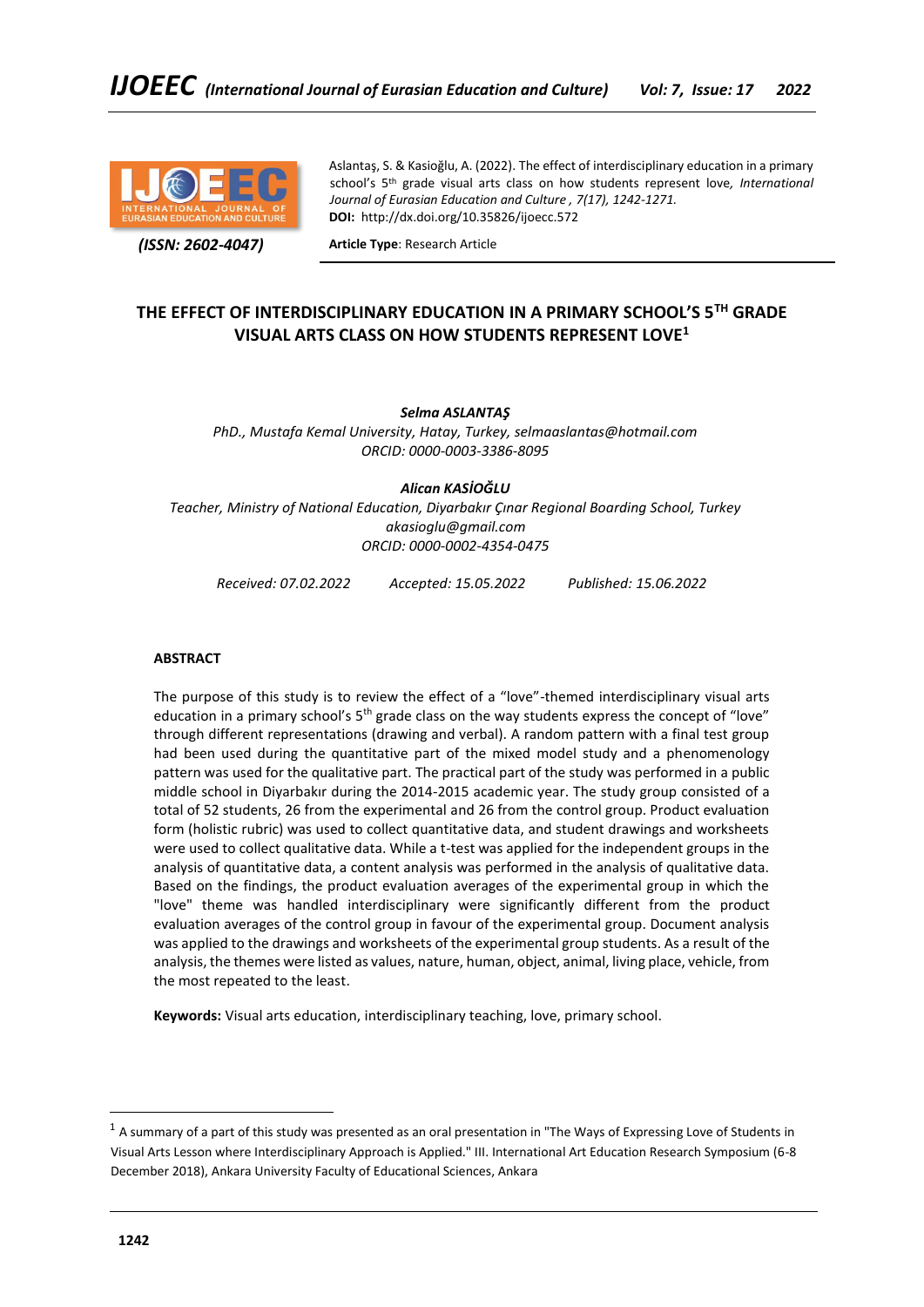

 *(ISSN: 2602-4047)*

Aslantaş, S. & Kasioğlu, A. (2022). The effect of interdisciplinary education in a primary school's 5th grade visual arts class on how students represent love*, International Journal of Eurasian Education and Culture , 7(17), 1242-1271.* **DOI:** http://dx.doi.org/10.35826/ijoecc.572

**Article Type**: Research Article

# **THE EFFECT OF INTERDISCIPLINARY EDUCATION IN A PRIMARY SCHOOL'S 5TH GRADE VISUAL ARTS CLASS ON HOW STUDENTS REPRESENT LOVE<sup>1</sup>**

# *Selma ASLANTAŞ*

*PhD., Mustafa Kemal University, Hatay, Turkey[, selmaaslantas@hotmail.com](mailto:selmaaslantas@hotmail.com) ORCID[: 0000-0003-3386-8095](https://orcid.org/0000-0003-3386-8095)*

# *Alican KASİOĞLU*

*Teacher, Ministry of National Education, Diyarbakır Çınar Regional Boarding School, Turkey [akasioglu@gmail.com](mailto:akasioglu@gmail.com) ORCID: [0000-0002-4354-0475](https://orcid.org/0000-0002-4354-0475)*

*Received: 07.02.2022 Accepted: 15.05.2022 Published: 15.06.2022*

# **ABSTRACT**

The purpose of this study is to review the effect of a "love"-themed interdisciplinary visual arts education in a primary school's 5<sup>th</sup> grade class on the way students express the concept of "love" through different representations (drawing and verbal). A random pattern with a final test group had been used during the quantitative part of the mixed model study and a phenomenology pattern was used for the qualitative part. The practical part of the study was performed in a public middle school in Diyarbakır during the 2014-2015 academic year. The study group consisted of a total of 52 students, 26 from the experimental and 26 from the control group. Product evaluation form (holistic rubric) was used to collect quantitative data, and student drawings and worksheets were used to collect qualitative data. While a t-test was applied for the independent groups in the analysis of quantitative data, a content analysis was performed in the analysis of qualitative data. Based on the findings, the product evaluation averages of the experimental group in which the "love" theme was handled interdisciplinary were significantly different from the product evaluation averages of the control group in favour of the experimental group. Document analysis was applied to the drawings and worksheets of the experimental group students. As a result of the analysis, the themes were listed as values, nature, human, object, animal, living place, vehicle, from the most repeated to the least.

**Keywords:** Visual arts education, interdisciplinary teaching, love, primary school.

 $^1$  A summary of a part of this study was presented as an oral presentation in "The Ways of Expressing Love of Students in Visual Arts Lesson where Interdisciplinary Approach is Applied." III. International Art Education Research Symposium (6-8 December 2018), Ankara University Faculty of Educational Sciences, Ankara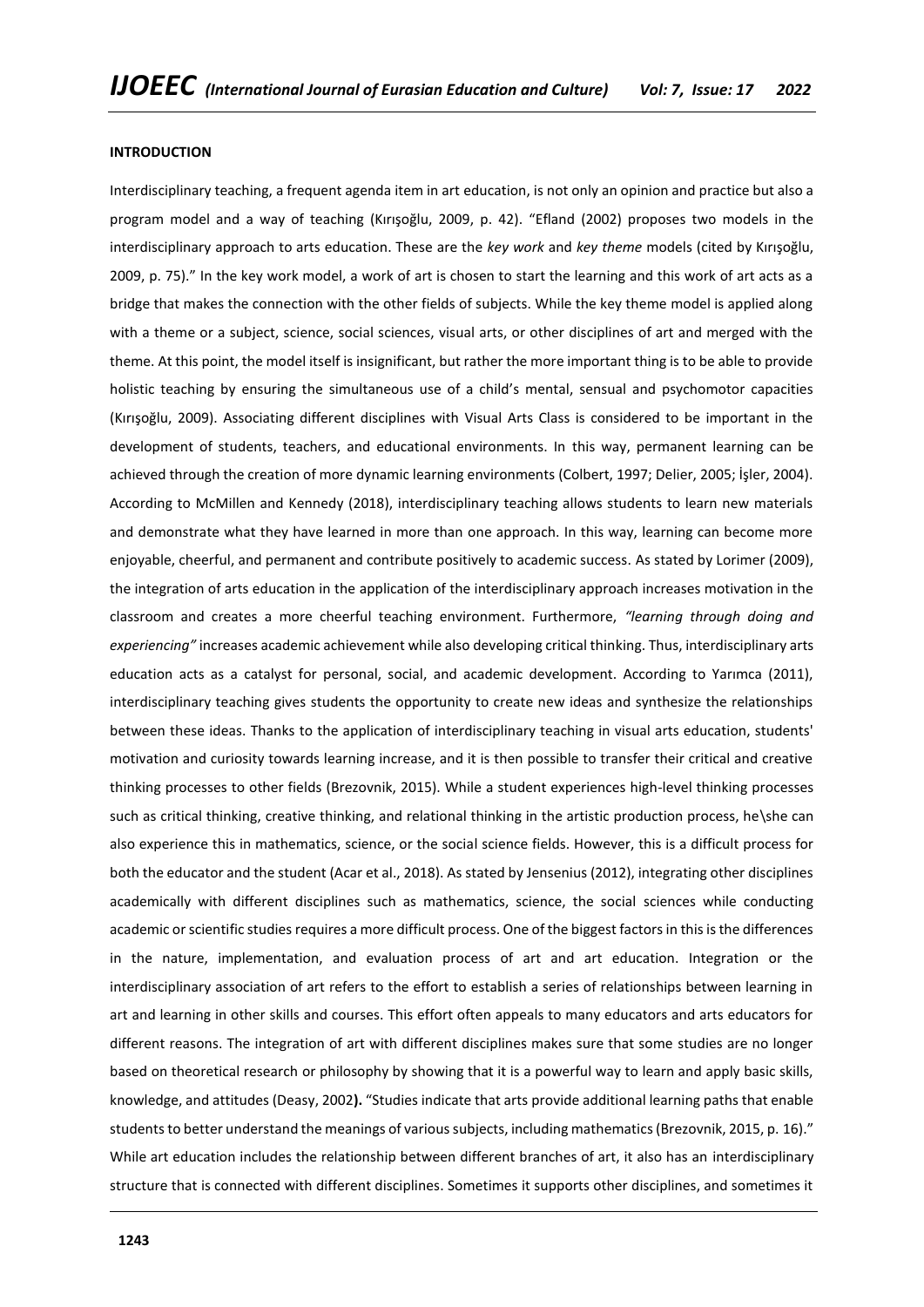#### **INTRODUCTION**

Interdisciplinary teaching, a frequent agenda item in art education, is not only an opinion and practice but also a program model and a way of teaching (Kırışoğlu, 2009, p. 42). "Efland (2002) proposes two models in the interdisciplinary approach to arts education. These are the *key work* and *key theme* models (cited by Kırışoğlu, 2009, p. 75)." In the key work model, a work of art is chosen to start the learning and this work of art acts as a bridge that makes the connection with the other fields of subjects. While the key theme model is applied along with a theme or a subject, science, social sciences, visual arts, or other disciplines of art and merged with the theme. At this point, the model itself is insignificant, but rather the more important thing is to be able to provide holistic teaching by ensuring the simultaneous use of a child's mental, sensual and psychomotor capacities (Kırışoğlu, 2009). Associating different disciplines with Visual Arts Class is considered to be important in the development of students, teachers, and educational environments. In this way, permanent learning can be achieved through the creation of more dynamic learning environments (Colbert, 1997; Delier, 2005; İşler, 2004). According to McMillen and Kennedy (2018), interdisciplinary teaching allows students to learn new materials and demonstrate what they have learned in more than one approach. In this way, learning can become more enjoyable, cheerful, and permanent and contribute positively to academic success. As stated by Lorimer (2009), the integration of arts education in the application of the interdisciplinary approach increases motivation in the classroom and creates a more cheerful teaching environment. Furthermore, *"learning through doing and experiencing"* increases academic achievement while also developing critical thinking. Thus, interdisciplinary arts education acts as a catalyst for personal, social, and academic development. According to Yarımca (2011), interdisciplinary teaching gives students the opportunity to create new ideas and synthesize the relationships between these ideas. Thanks to the application of interdisciplinary teaching in visual arts education, students' motivation and curiosity towards learning increase, and it is then possible to transfer their critical and creative thinking processes to other fields (Brezovnik, 2015). While a student experiences high-level thinking processes such as critical thinking, creative thinking, and relational thinking in the artistic production process, he\she can also experience this in mathematics, science, or the social science fields. However, this is a difficult process for both the educator and the student (Acar et al., 2018). As stated by Jensenius (2012), integrating other disciplines academically with different disciplines such as mathematics, science, the social sciences while conducting academic or scientific studies requires a more difficult process. One of the biggest factors in this is the differences in the nature, implementation, and evaluation process of art and art education. Integration or the interdisciplinary association of art refers to the effort to establish a series of relationships between learning in art and learning in other skills and courses. This effort often appeals to many educators and arts educators for different reasons. The integration of art with different disciplines makes sure that some studies are no longer based on theoretical research or philosophy by showing that it is a powerful way to learn and apply basic skills, knowledge, and attitudes (Deasy, 2002**).** "Studies indicate that arts provide additional learning paths that enable students to better understand the meanings of various subjects, including mathematics (Brezovnik, 2015, p. 16)." While art education includes the relationship between different branches of art, it also has an interdisciplinary structure that is connected with different disciplines. Sometimes it supports other disciplines, and sometimes it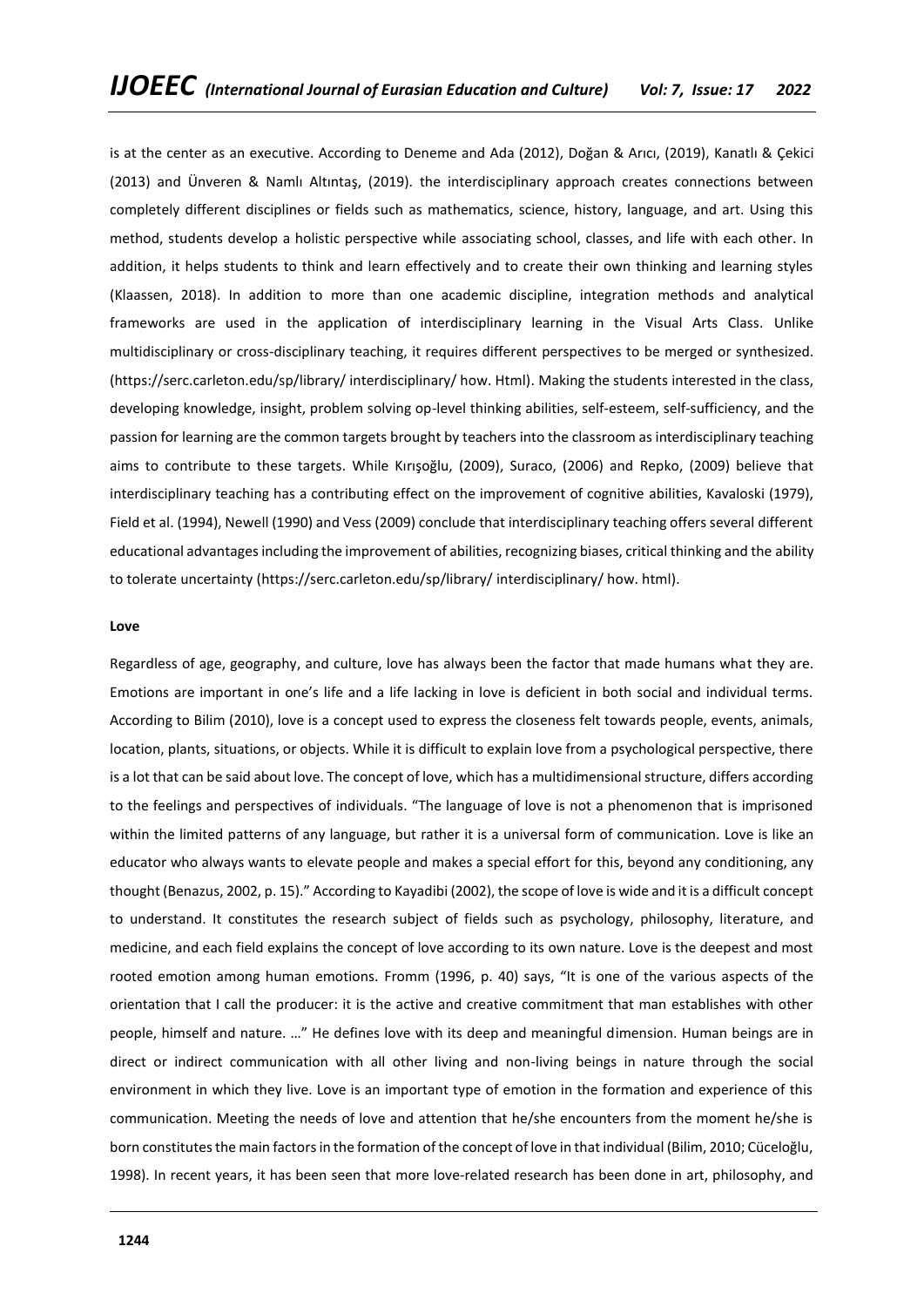is at the center as an executive. According to Deneme and Ada (2012), Doğan & Arıcı, (2019), Kanatlı & Çekici (2013) and Ünveren & Namlı Altıntaş, (2019). the interdisciplinary approach creates connections between completely different disciplines or fields such as mathematics, science, history, language, and art. Using this method, students develop a holistic perspective while associating school, classes, and life with each other. In addition, it helps students to think and learn effectively and to create their own thinking and learning styles (Klaassen, 2018). In addition to more than one academic discipline, integration methods and analytical frameworks are used in the application of interdisciplinary learning in the Visual Arts Class. Unlike multidisciplinary or cross-disciplinary teaching, it requires different perspectives to be merged or synthesized. (https://serc.carleton.edu/sp/library/ interdisciplinary/ how. Html). Making the students interested in the class, developing knowledge, insight, problem solving op-level thinking abilities, self-esteem, self-sufficiency, and the passion for learning are the common targets brought by teachers into the classroom as interdisciplinary teaching aims to contribute to these targets. While Kırışoğlu, (2009), Suraco, (2006) and Repko, (2009) believe that interdisciplinary teaching has a contributing effect on the improvement of cognitive abilities, Kavaloski (1979), Field et al. (1994), Newell (1990) and Vess (2009) conclude that interdisciplinary teaching offers several different educational advantages including the improvement of abilities, recognizing biases, critical thinking and the ability to tolerate uncertainty [\(https://serc.carleton.edu/sp/library/](https://serc.carleton.edu/sp/library/) interdisciplinary/ how. html).

#### **Love**

Regardless of age, geography, and culture, love has always been the factor that made humans what they are. Emotions are important in one's life and a life lacking in love is deficient in both social and individual terms. According to Bilim (2010), love is a concept used to express the closeness felt towards people, events, animals, location, plants, situations, or objects. While it is difficult to explain love from a psychological perspective, there is a lot that can be said about love. The concept of love, which has a multidimensional structure, differs according to the feelings and perspectives of individuals. "The language of love is not a phenomenon that is imprisoned within the limited patterns of any language, but rather it is a universal form of communication. Love is like an educator who always wants to elevate people and makes a special effort for this, beyond any conditioning, any thought (Benazus, 2002, p. 15)." According to Kayadibi (2002), the scope of love is wide and it is a difficult concept to understand. It constitutes the research subject of fields such as psychology, philosophy, literature, and medicine, and each field explains the concept of love according to its own nature. Love is the deepest and most rooted emotion among human emotions. Fromm (1996, p. 40) says, "It is one of the various aspects of the orientation that I call the producer: it is the active and creative commitment that man establishes with other people, himself and nature. …" He defines love with its deep and meaningful dimension. Human beings are in direct or indirect communication with all other living and non-living beings in nature through the social environment in which they live. Love is an important type of emotion in the formation and experience of this communication. Meeting the needs of love and attention that he/she encounters from the moment he/she is born constitutes the main factors in the formation of the concept of love in that individual (Bilim, 2010; Cüceloğlu, 1998). In recent years, it has been seen that more love-related research has been done in art, philosophy, and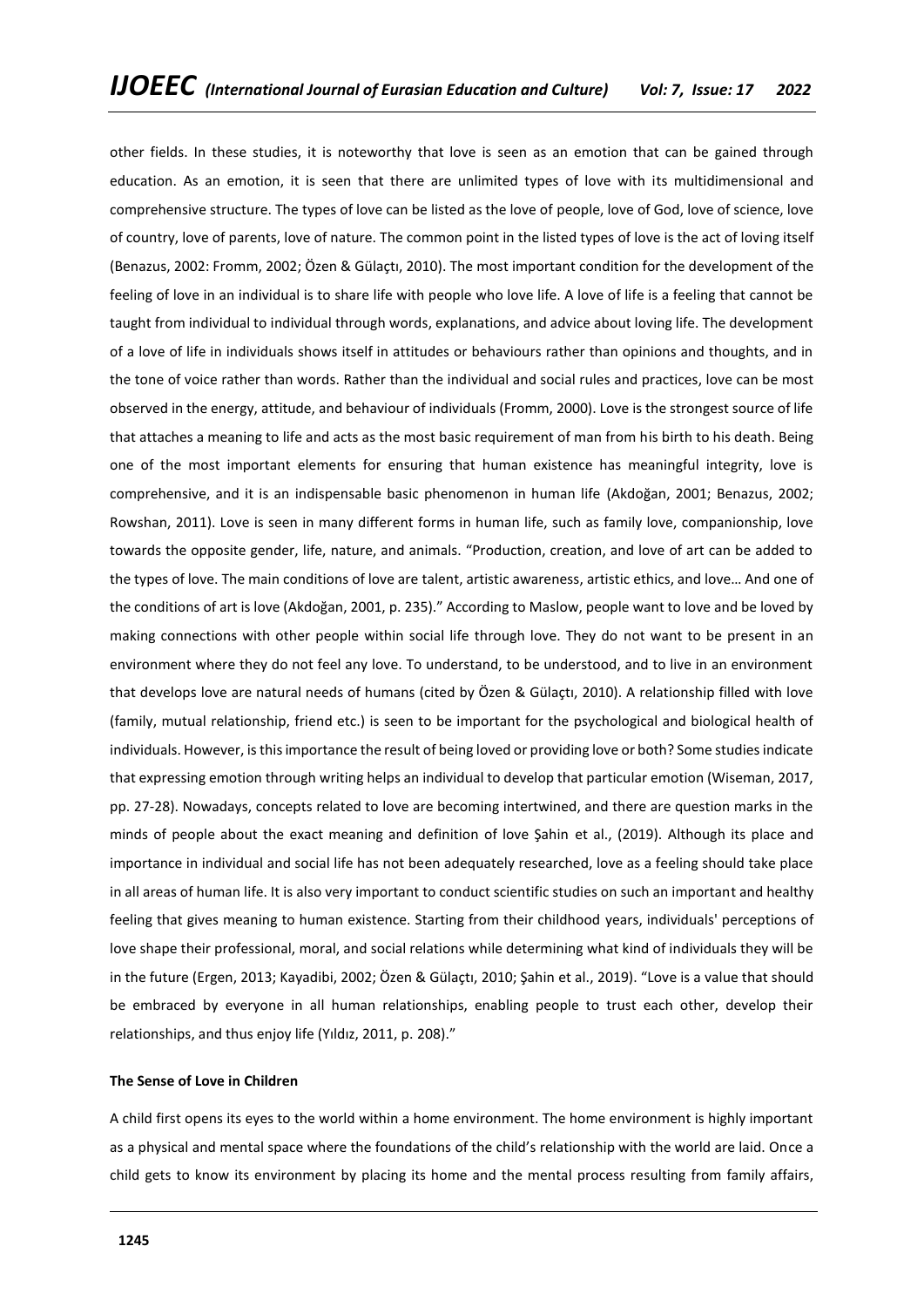other fields. In these studies, it is noteworthy that love is seen as an emotion that can be gained through education. As an emotion, it is seen that there are unlimited types of love with its multidimensional and comprehensive structure. The types of love can be listed as the love of people, love of God, love of science, love of country, love of parents, love of nature. The common point in the listed types of love is the act of loving itself (Benazus, 2002: Fromm, 2002; Özen & Gülaçtı, 2010). The most important condition for the development of the feeling of love in an individual is to share life with people who love life. A love of life is a feeling that cannot be taught from individual to individual through words, explanations, and advice about loving life. The development of a love of life in individuals shows itself in attitudes or behaviours rather than opinions and thoughts, and in the tone of voice rather than words. Rather than the individual and social rules and practices, love can be most observed in the energy, attitude, and behaviour of individuals (Fromm, 2000). Love is the strongest source of life that attaches a meaning to life and acts as the most basic requirement of man from his birth to his death. Being one of the most important elements for ensuring that human existence has meaningful integrity, love is comprehensive, and it is an indispensable basic phenomenon in human life (Akdoğan, 2001; Benazus, 2002; Rowshan, 2011). Love is seen in many different forms in human life, such as family love, companionship, love towards the opposite gender, life, nature, and animals. "Production, creation, and love of art can be added to the types of love. The main conditions of love are talent, artistic awareness, artistic ethics, and love… And one of the conditions of art is love (Akdoğan, 2001, p. 235)." According to Maslow, people want to love and be loved by making connections with other people within social life through love. They do not want to be present in an environment where they do not feel any love. To understand, to be understood, and to live in an environment that develops love are natural needs of humans (cited by Özen & Gülaçtı, 2010). A relationship filled with love (family, mutual relationship, friend etc.) is seen to be important for the psychological and biological health of individuals. However, is this importance the result of being loved or providing love or both? Some studies indicate that expressing emotion through writing helps an individual to develop that particular emotion (Wiseman, 2017, pp. 27-28). Nowadays, concepts related to love are becoming intertwined, and there are question marks in the minds of people about the exact meaning and definition of love Şahin et al., (2019). Although its place and importance in individual and social life has not been adequately researched, love as a feeling should take place in all areas of human life. It is also very important to conduct scientific studies on such an important and healthy feeling that gives meaning to human existence. Starting from their childhood years, individuals' perceptions of love shape their professional, moral, and social relations while determining what kind of individuals they will be in the future (Ergen, 2013; Kayadibi, 2002; Özen & Gülaçtı, 2010; Şahin et al., 2019). "Love is a value that should be embraced by everyone in all human relationships, enabling people to trust each other, develop their relationships, and thus enjoy life (Yıldız, 2011, p. 208)."

# **The Sense of Love in Children**

A child first opens its eyes to the world within a home environment. The home environment is highly important as a physical and mental space where the foundations of the child's relationship with the world are laid. Once a child gets to know its environment by placing its home and the mental process resulting from family affairs,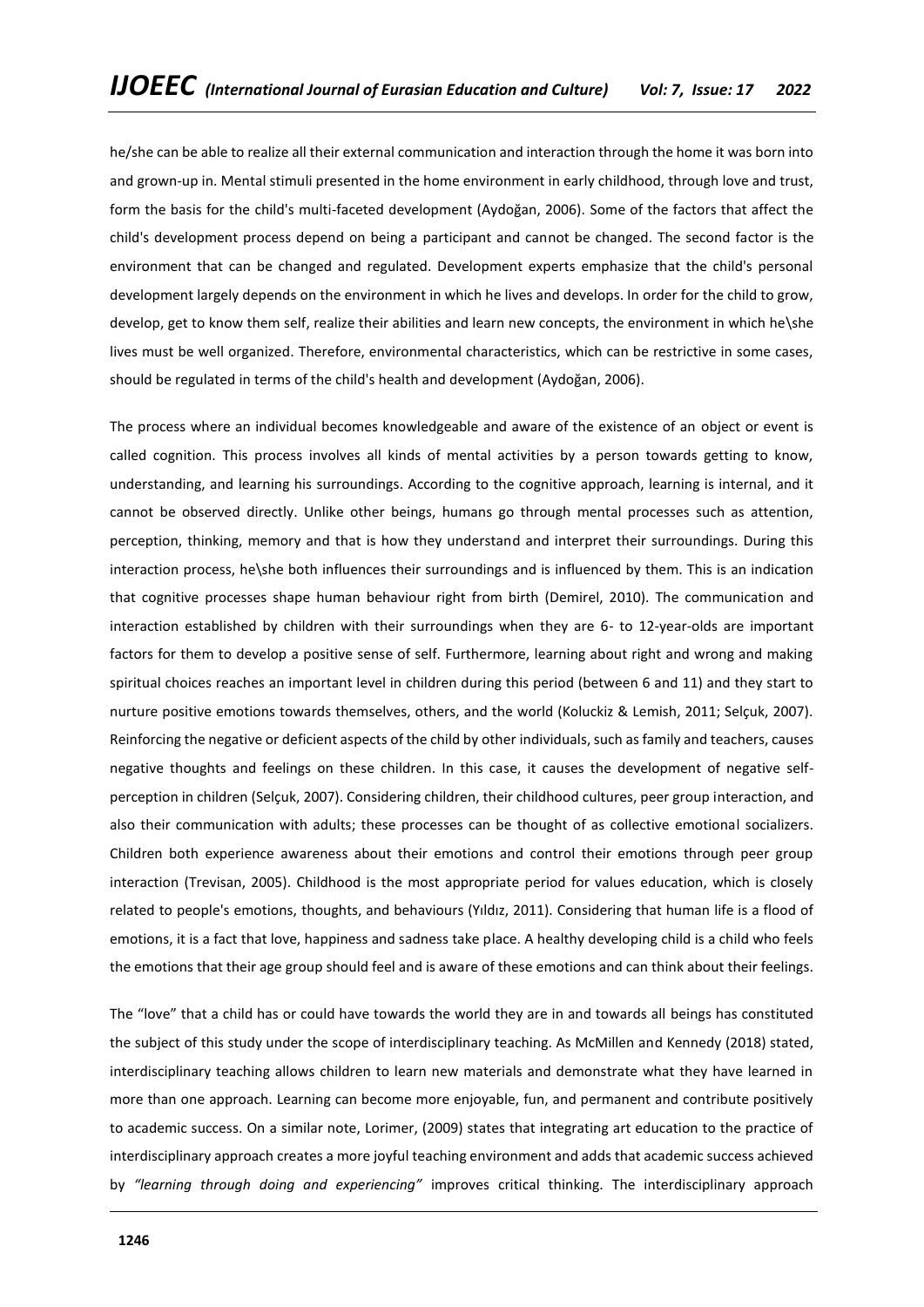he/she can be able to realize all their external communication and interaction through the home it was born into and grown-up in. Mental stimuli presented in the home environment in early childhood, through love and trust, form the basis for the child's multi-faceted development (Aydoğan, 2006). Some of the factors that affect the child's development process depend on being a participant and cannot be changed. The second factor is the environment that can be changed and regulated. Development experts emphasize that the child's personal development largely depends on the environment in which he lives and develops. In order for the child to grow, develop, get to know them self, realize their abilities and learn new concepts, the environment in which he\she lives must be well organized. Therefore, environmental characteristics, which can be restrictive in some cases, should be regulated in terms of the child's health and development (Aydoğan, 2006).

The process where an individual becomes knowledgeable and aware of the existence of an object or event is called cognition. This process involves all kinds of mental activities by a person towards getting to know, understanding, and learning his surroundings. According to the cognitive approach, learning is internal, and it cannot be observed directly. Unlike other beings, humans go through mental processes such as attention, perception, thinking, memory and that is how they understand and interpret their surroundings. During this interaction process, he\she both influences their surroundings and is influenced by them. This is an indication that cognitive processes shape human behaviour right from birth (Demirel, 2010). The communication and interaction established by children with their surroundings when they are 6- to 12-year-olds are important factors for them to develop a positive sense of self. Furthermore, learning about right and wrong and making spiritual choices reaches an important level in children during this period (between 6 and 11) and they start to nurture positive emotions towards themselves, others, and the world (Koluckiz & Lemish, 2011; Selçuk, 2007). Reinforcing the negative or deficient aspects of the child by other individuals, such as family and teachers, causes negative thoughts and feelings on these children. In this case, it causes the development of negative selfperception in children (Selçuk, 2007). Considering children, their childhood cultures, peer group interaction, and also their communication with adults; these processes can be thought of as collective emotional socializers. Children both experience awareness about their emotions and control their emotions through peer group interaction (Trevisan, 2005). Childhood is the most appropriate period for values education, which is closely related to people's emotions, thoughts, and behaviours (Yıldız, 2011). Considering that human life is a flood of emotions, it is a fact that love, happiness and sadness take place. A healthy developing child is a child who feels the emotions that their age group should feel and is aware of these emotions and can think about their feelings.

The "love" that a child has or could have towards the world they are in and towards all beings has constituted the subject of this study under the scope of interdisciplinary teaching. As McMillen and Kennedy (2018) stated, interdisciplinary teaching allows children to learn new materials and demonstrate what they have learned in more than one approach. Learning can become more enjoyable, fun, and permanent and contribute positively to academic success. On a similar note, Lorimer, (2009) states that integrating art education to the practice of interdisciplinary approach creates a more joyful teaching environment and adds that academic success achieved by *"learning through doing and experiencing"* improves critical thinking. The interdisciplinary approach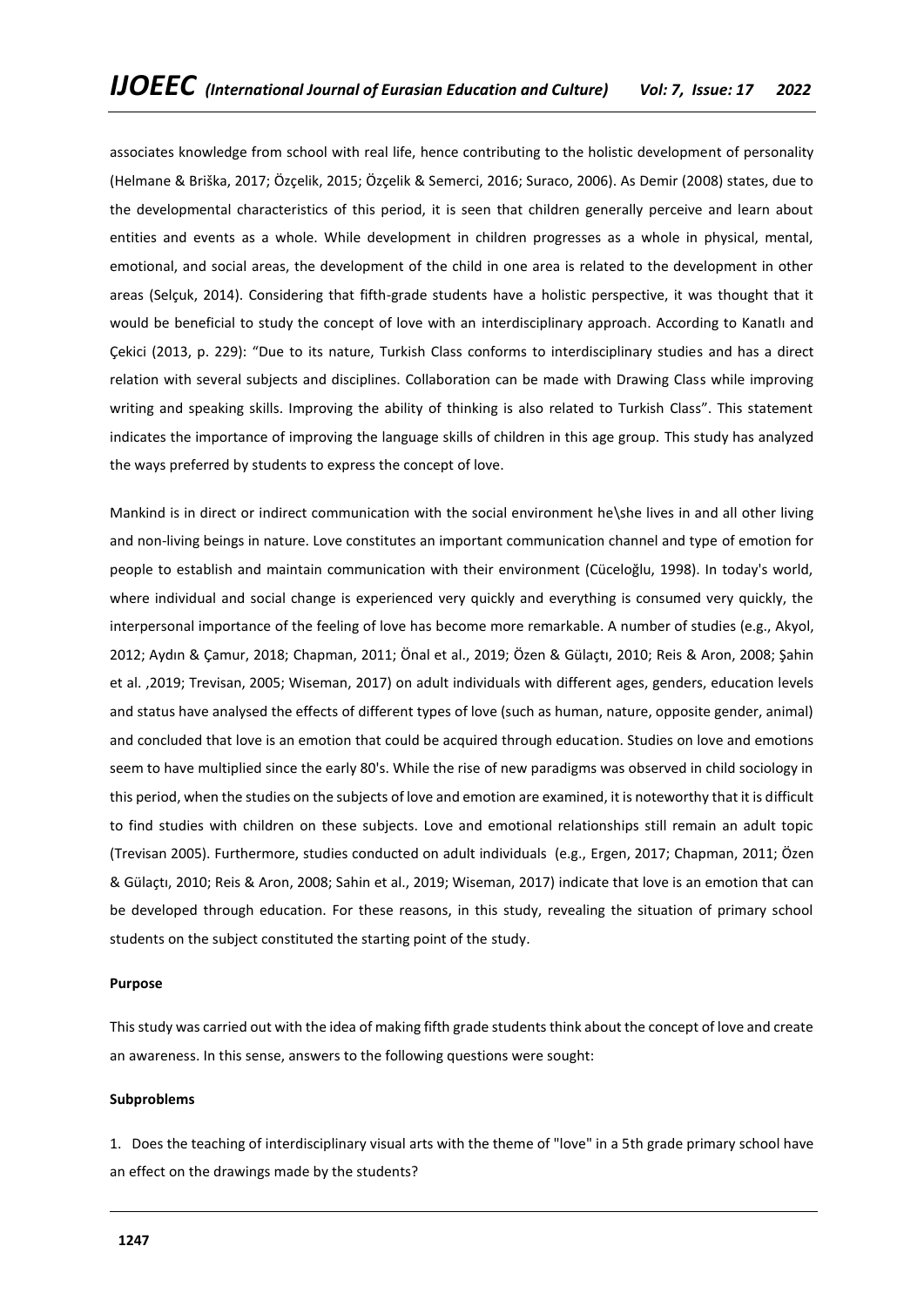associates knowledge from school with real life, hence contributing to the holistic development of personality (Helmane & Briška, 2017; Özçelik, 2015; Özçelik & Semerci, 2016; Suraco, 2006). As Demir (2008) states, due to the developmental characteristics of this period, it is seen that children generally perceive and learn about entities and events as a whole. While development in children progresses as a whole in physical, mental, emotional, and social areas, the development of the child in one area is related to the development in other areas (Selçuk, 2014). Considering that fifth-grade students have a holistic perspective, it was thought that it would be beneficial to study the concept of love with an interdisciplinary approach. According to Kanatlı and Çekici (2013, p. 229): "Due to its nature, Turkish Class conforms to interdisciplinary studies and has a direct relation with several subjects and disciplines. Collaboration can be made with Drawing Class while improving writing and speaking skills. Improving the ability of thinking is also related to Turkish Class". This statement indicates the importance of improving the language skills of children in this age group. This study has analyzed the ways preferred by students to express the concept of love.

Mankind is in direct or indirect communication with the social environment he\she lives in and all other living and non-living beings in nature. Love constitutes an important communication channel and type of emotion for people to establish and maintain communication with their environment (Cüceloğlu, 1998). In today's world, where individual and social change is experienced very quickly and everything is consumed very quickly, the interpersonal importance of the feeling of love has become more remarkable. A number of studies (e.g., Akyol, 2012; Aydın & Çamur, 2018; Chapman, 2011; Önal et al., 2019; Özen & Gülaçtı, 2010; Reis & Aron, 2008; Şahin et al. ,2019; Trevisan, 2005; Wiseman, 2017) on adult individuals with different ages, genders, education levels and status have analysed the effects of different types of love (such as human, nature, opposite gender, animal) and concluded that love is an emotion that could be acquired through education. Studies on love and emotions seem to have multiplied since the early 80's. While the rise of new paradigms was observed in child sociology in this period, when the studies on the subjects of love and emotion are examined, it is noteworthy that it is difficult to find studies with children on these subjects. Love and emotional relationships still remain an adult topic (Trevisan 2005). Furthermore, studies conducted on adult individuals (e.g., Ergen, 2017; Chapman, 2011; Özen & Gülaçtı, 2010; Reis & Aron, 2008; Sahin et al., 2019; Wiseman, 2017) indicate that love is an emotion that can be developed through education. For these reasons, in this study, revealing the situation of primary school students on the subject constituted the starting point of the study.

## **Purpose**

This study was carried out with the idea of making fifth grade students think about the concept of love and create an awareness. In this sense, answers to the following questions were sought:

### **Subproblems**

1. Does the teaching of interdisciplinary visual arts with the theme of "love" in a 5th grade primary school have an effect on the drawings made by the students?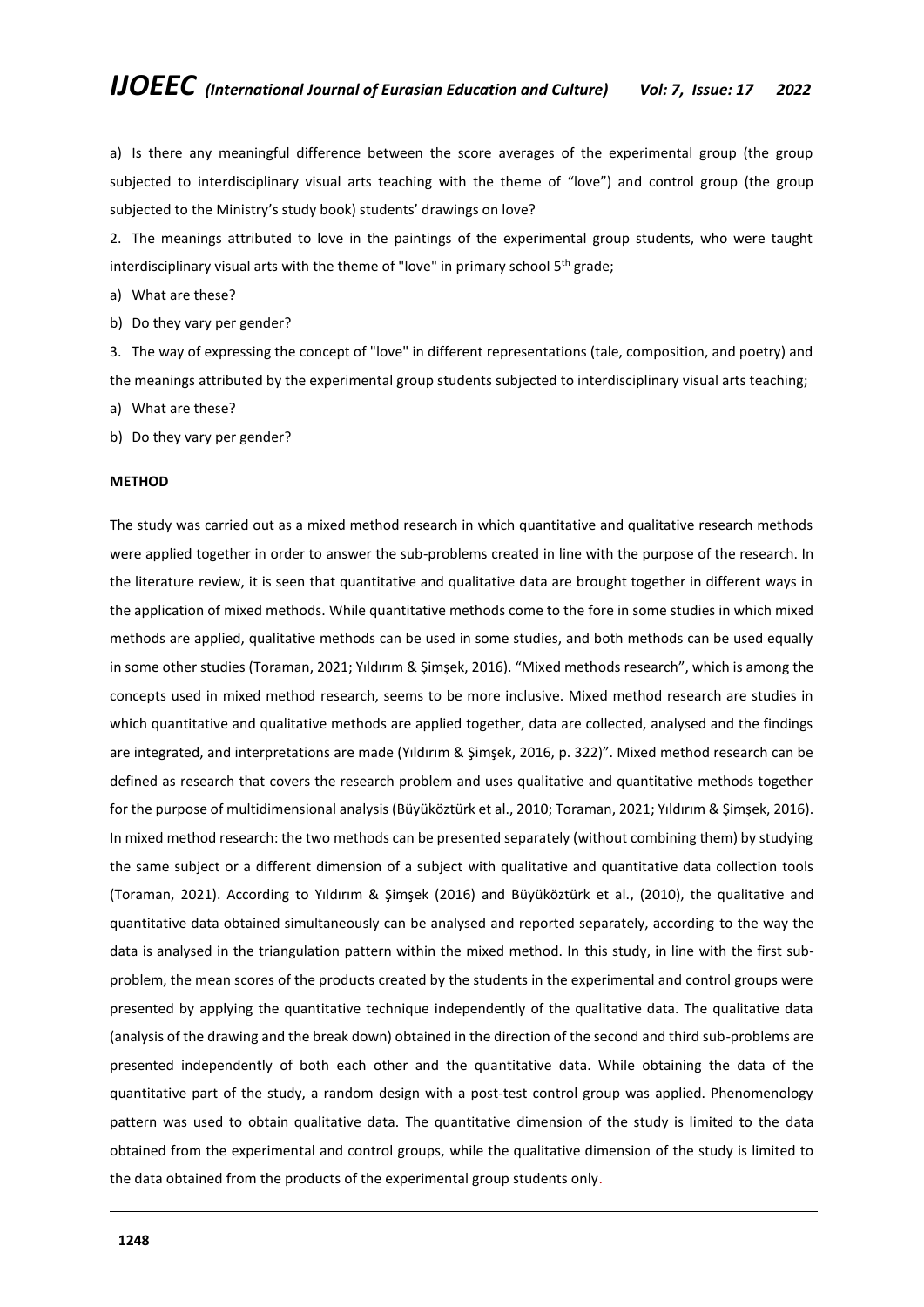a) Is there any meaningful difference between the score averages of the experimental group (the group subjected to interdisciplinary visual arts teaching with the theme of "love") and control group (the group subjected to the Ministry's study book) students' drawings on love?

2. The meanings attributed to love in the paintings of the experimental group students, who were taught interdisciplinary visual arts with the theme of "love" in primary school 5th grade;

a) What are these?

b) Do they vary per gender?

3. The way of expressing the concept of "love" in different representations (tale, composition, and poetry) and the meanings attributed by the experimental group students subjected to interdisciplinary visual arts teaching;

a) What are these?

b) Do they vary per gender?

#### **METHOD**

The study was carried out as a mixed method research in which quantitative and qualitative research methods were applied together in order to answer the sub-problems created in line with the purpose of the research. In the literature review, it is seen that quantitative and qualitative data are brought together in different ways in the application of mixed methods. While quantitative methods come to the fore in some studies in which mixed methods are applied, qualitative methods can be used in some studies, and both methods can be used equally in some other studies (Toraman, 2021; Yıldırım & Şimşek, 2016). "Mixed methods research", which is among the concepts used in mixed method research, seems to be more inclusive. Mixed method research are studies in which quantitative and qualitative methods are applied together, data are collected, analysed and the findings are integrated, and interpretations are made (Yıldırım & Şimşek, 2016, p. 322)". Mixed method research can be defined as research that covers the research problem and uses qualitative and quantitative methods together for the purpose of multidimensional analysis (Büyüköztürk et al., 2010; Toraman, 2021; Yıldırım & Şimşek, 2016). In mixed method research: the two methods can be presented separately (without combining them) by studying the same subject or a different dimension of a subject with qualitative and quantitative data collection tools (Toraman, 2021). According to Yıldırım & Şimşek (2016) and Büyüköztürk et al., (2010), the qualitative and quantitative data obtained simultaneously can be analysed and reported separately, according to the way the data is analysed in the triangulation pattern within the mixed method. In this study, in line with the first subproblem, the mean scores of the products created by the students in the experimental and control groups were presented by applying the quantitative technique independently of the qualitative data. The qualitative data (analysis of the drawing and the break down) obtained in the direction of the second and third sub-problems are presented independently of both each other and the quantitative data. While obtaining the data of the quantitative part of the study, a random design with a post-test control group was applied. Phenomenology pattern was used to obtain qualitative data. The quantitative dimension of the study is limited to the data obtained from the experimental and control groups, while the qualitative dimension of the study is limited to the data obtained from the products of the experimental group students only.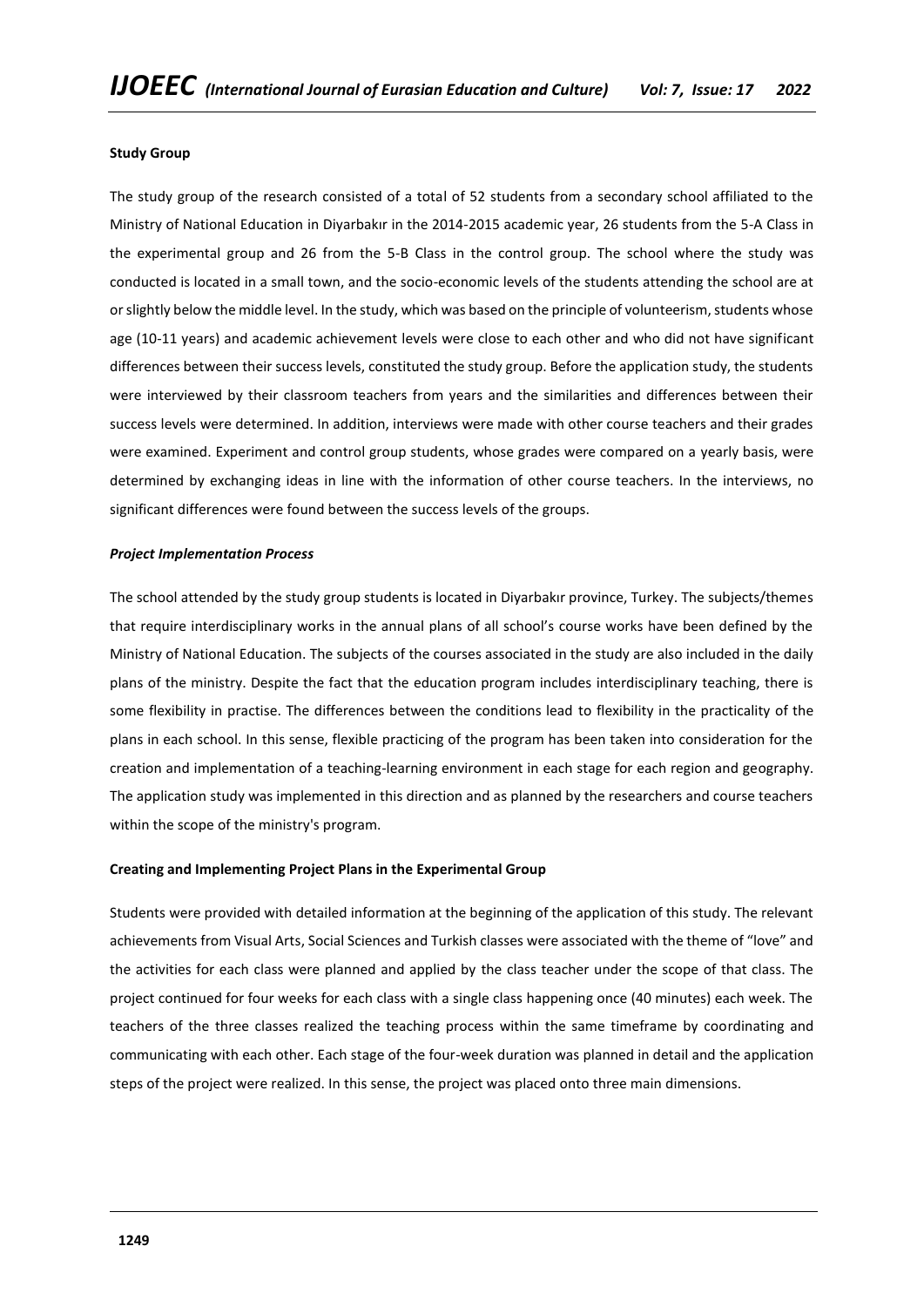## **Study Group**

The study group of the research consisted of a total of 52 students from a secondary school affiliated to the Ministry of National Education in Diyarbakır in the 2014-2015 academic year, 26 students from the 5-A Class in the experimental group and 26 from the 5-B Class in the control group. The school where the study was conducted is located in a small town, and the socio-economic levels of the students attending the school are at or slightly below the middle level. In the study, which was based on the principle of volunteerism, students whose age (10-11 years) and academic achievement levels were close to each other and who did not have significant differences between their success levels, constituted the study group. Before the application study, the students were interviewed by their classroom teachers from years and the similarities and differences between their success levels were determined. In addition, interviews were made with other course teachers and their grades were examined. Experiment and control group students, whose grades were compared on a yearly basis, were determined by exchanging ideas in line with the information of other course teachers. In the interviews, no significant differences were found between the success levels of the groups.

## *Project Implementation Process*

The school attended by the study group students is located in Diyarbakır province, Turkey. The subjects/themes that require interdisciplinary works in the annual plans of all school's course works have been defined by the Ministry of National Education. The subjects of the courses associated in the study are also included in the daily plans of the ministry. Despite the fact that the education program includes interdisciplinary teaching, there is some flexibility in practise. The differences between the conditions lead to flexibility in the practicality of the plans in each school. In this sense, flexible practicing of the program has been taken into consideration for the creation and implementation of a teaching-learning environment in each stage for each region and geography. The application study was implemented in this direction and as planned by the researchers and course teachers within the scope of the ministry's program.

## **Creating and Implementing Project Plans in the Experimental Group**

Students were provided with detailed information at the beginning of the application of this study. The relevant achievements from Visual Arts, Social Sciences and Turkish classes were associated with the theme of "love" and the activities for each class were planned and applied by the class teacher under the scope of that class. The project continued for four weeks for each class with a single class happening once (40 minutes) each week. The teachers of the three classes realized the teaching process within the same timeframe by coordinating and communicating with each other. Each stage of the four-week duration was planned in detail and the application steps of the project were realized. In this sense, the project was placed onto three main dimensions.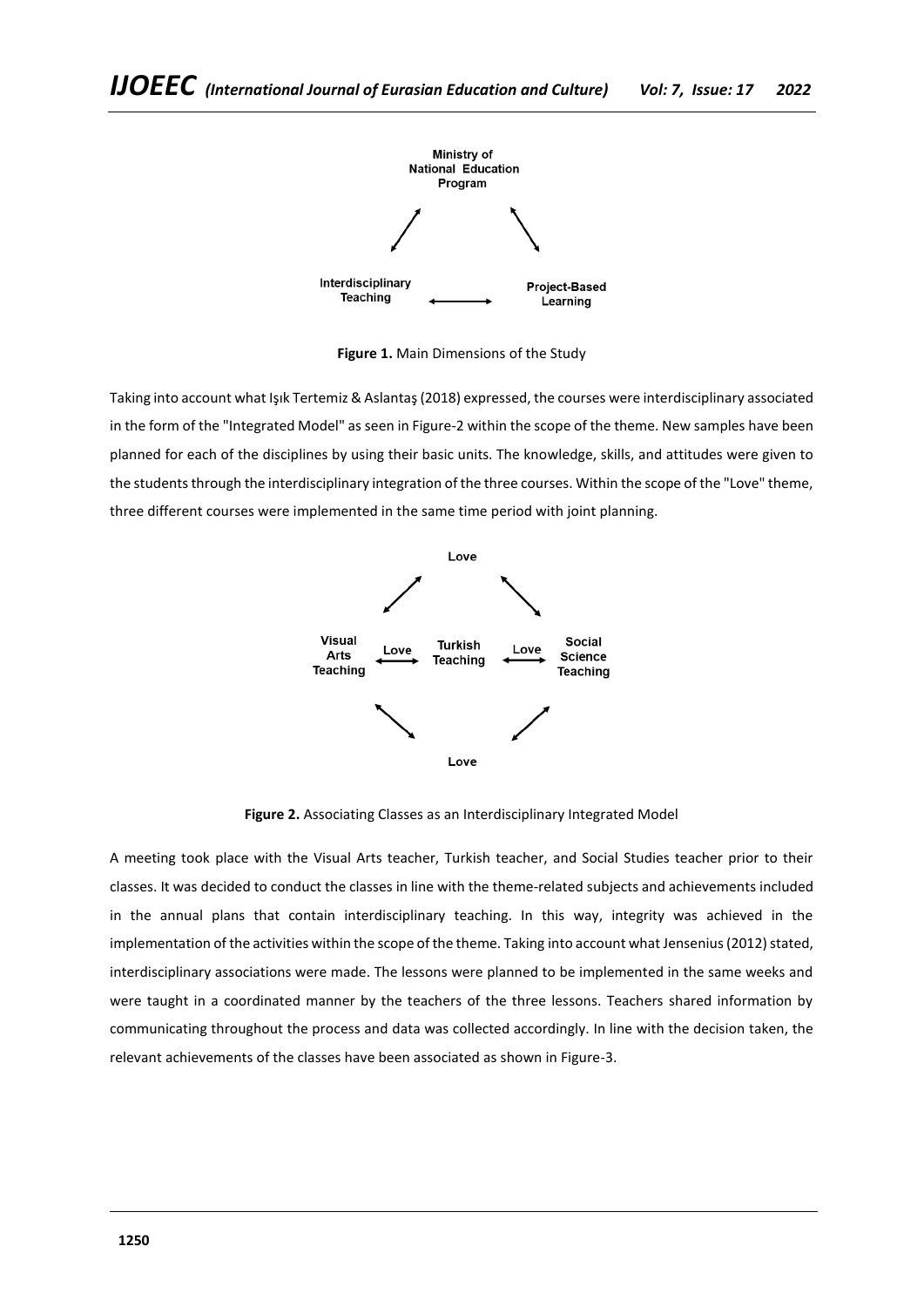

**Figure 1.** Main Dimensions of the Study

Taking into account what Işık Tertemiz & Aslantaş (2018) expressed, the courses were interdisciplinary associated in the form of the "Integrated Model" as seen in Figure-2 within the scope of the theme. New samples have been planned for each of the disciplines by using their basic units. The knowledge, skills, and attitudes were given to the students through the interdisciplinary integration of the three courses. Within the scope of the "Love" theme, three different courses were implemented in the same time period with joint planning.



**Figure 2.** Associating Classes as an Interdisciplinary Integrated Model

A meeting took place with the Visual Arts teacher, Turkish teacher, and Social Studies teacher prior to their classes. It was decided to conduct the classes in line with the theme-related subjects and achievements included in the annual plans that contain interdisciplinary teaching. In this way, integrity was achieved in the implementation of the activities within the scope of the theme. Taking into account what Jensenius (2012) stated, interdisciplinary associations were made. The lessons were planned to be implemented in the same weeks and were taught in a coordinated manner by the teachers of the three lessons. Teachers shared information by communicating throughout the process and data was collected accordingly. In line with the decision taken, the relevant achievements of the classes have been associated as shown in Figure-3.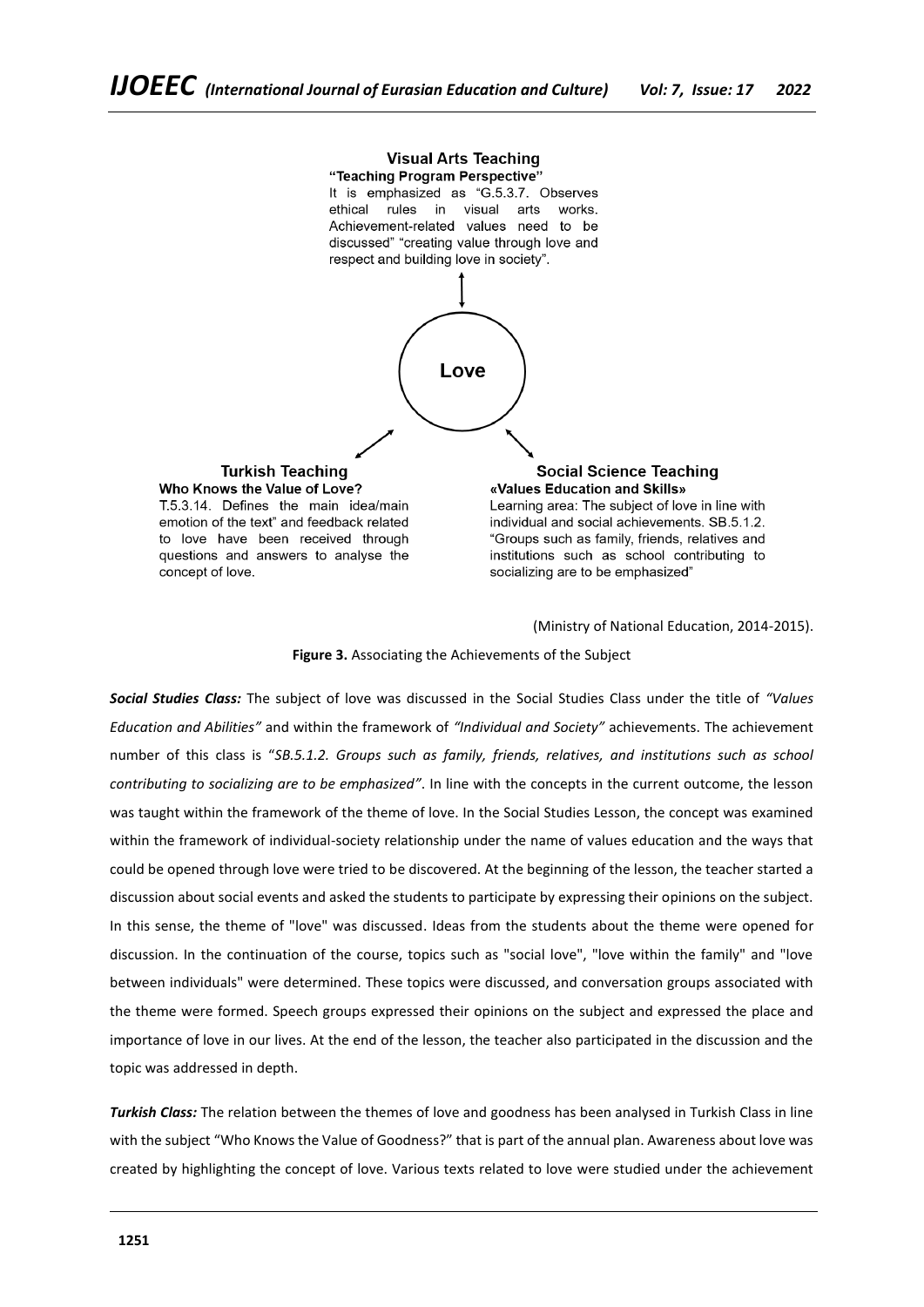

(Ministry of National Education, 2014-2015).

**Figure 3.** Associating the Achievements of the Subject

*Social Studies Class:* The subject of love was discussed in the Social Studies Class under the title of *"Values Education and Abilities"* and within the framework of *"Individual and Society"* achievements. The achievement number of this class is "*SB.5.1.2. Groups such as family, friends, relatives, and institutions such as school contributing to socializing are to be emphasized"*. In line with the concepts in the current outcome, the lesson was taught within the framework of the theme of love. In the Social Studies Lesson, the concept was examined within the framework of individual-society relationship under the name of values education and the ways that could be opened through love were tried to be discovered. At the beginning of the lesson, the teacher started a discussion about social events and asked the students to participate by expressing their opinions on the subject. In this sense, the theme of "love" was discussed. Ideas from the students about the theme were opened for discussion. In the continuation of the course, topics such as "social love", "love within the family" and "love between individuals" were determined. These topics were discussed, and conversation groups associated with the theme were formed. Speech groups expressed their opinions on the subject and expressed the place and importance of love in our lives. At the end of the lesson, the teacher also participated in the discussion and the topic was addressed in depth.

*Turkish Class:* The relation between the themes of love and goodness has been analysed in Turkish Class in line with the subject "Who Knows the Value of Goodness?" that is part of the annual plan. Awareness about love was created by highlighting the concept of love. Various texts related to love were studied under the achievement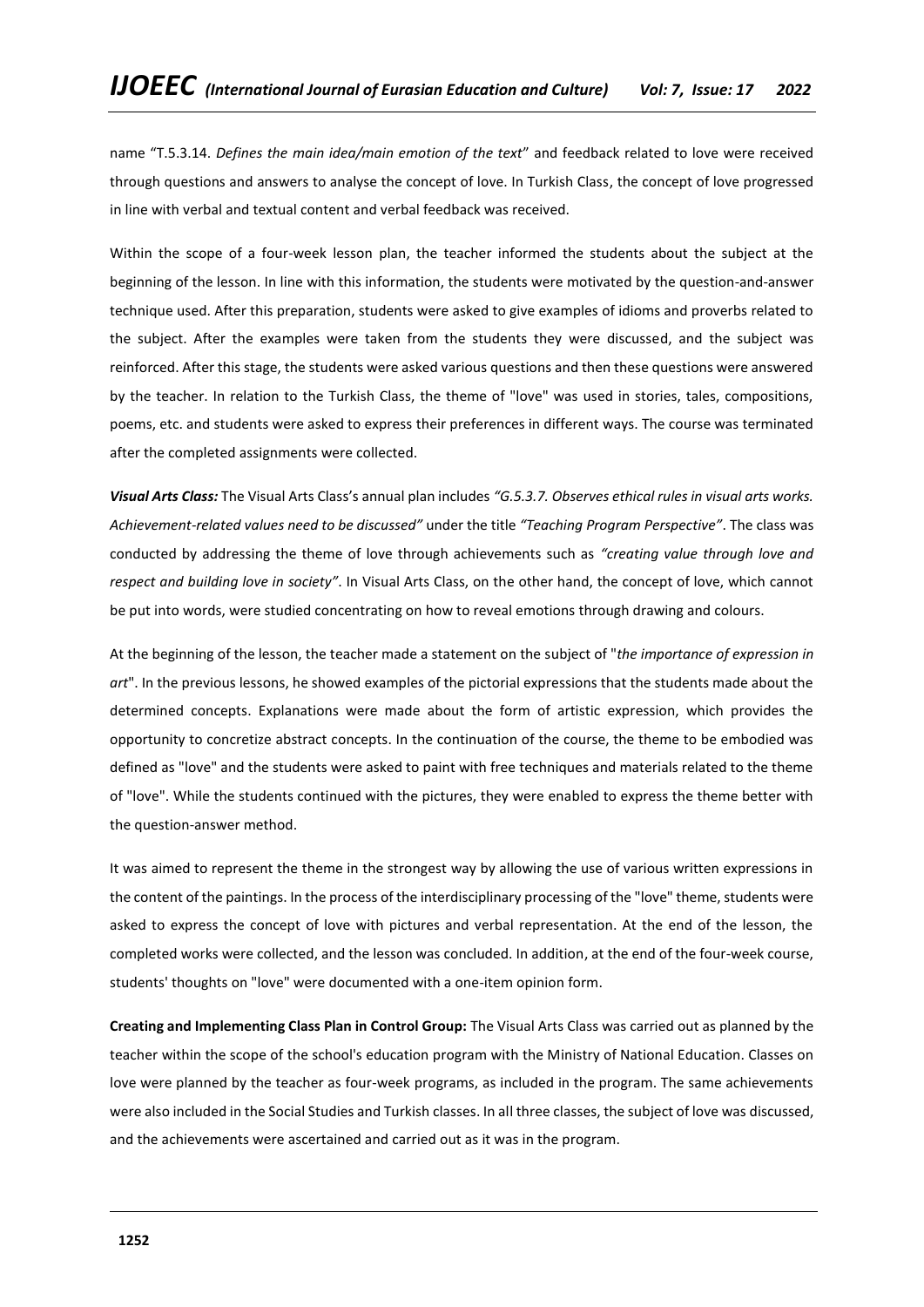name "T.5.3.14. *Defines the main idea/main emotion of the text*" and feedback related to love were received through questions and answers to analyse the concept of love. In Turkish Class, the concept of love progressed in line with verbal and textual content and verbal feedback was received.

Within the scope of a four-week lesson plan, the teacher informed the students about the subject at the beginning of the lesson. In line with this information, the students were motivated by the question-and-answer technique used. After this preparation, students were asked to give examples of idioms and proverbs related to the subject. After the examples were taken from the students they were discussed, and the subject was reinforced. After this stage, the students were asked various questions and then these questions were answered by the teacher. In relation to the Turkish Class, the theme of "love" was used in stories, tales, compositions, poems, etc. and students were asked to express their preferences in different ways. The course was terminated after the completed assignments were collected.

*Visual Arts Class:* The Visual Arts Class's annual plan includes *"G.5.3.7. Observes ethical rules in visual arts works. Achievement-related values need to be discussed"* under the title *"Teaching Program Perspective"*. The class was conducted by addressing the theme of love through achievements such as *"creating value through love and respect and building love in society"*. In Visual Arts Class, on the other hand, the concept of love, which cannot be put into words, were studied concentrating on how to reveal emotions through drawing and colours.

At the beginning of the lesson, the teacher made a statement on the subject of "*the importance of expression in art*". In the previous lessons, he showed examples of the pictorial expressions that the students made about the determined concepts. Explanations were made about the form of artistic expression, which provides the opportunity to concretize abstract concepts. In the continuation of the course, the theme to be embodied was defined as "love" and the students were asked to paint with free techniques and materials related to the theme of "love". While the students continued with the pictures, they were enabled to express the theme better with the question-answer method.

It was aimed to represent the theme in the strongest way by allowing the use of various written expressions in the content of the paintings. In the process of the interdisciplinary processing of the "love" theme, students were asked to express the concept of love with pictures and verbal representation. At the end of the lesson, the completed works were collected, and the lesson was concluded. In addition, at the end of the four-week course, students' thoughts on "love" were documented with a one-item opinion form.

**Creating and Implementing Class Plan in Control Group:** The Visual Arts Class was carried out as planned by the teacher within the scope of the school's education program with the Ministry of National Education. Classes on love were planned by the teacher as four-week programs, as included in the program. The same achievements were also included in the Social Studies and Turkish classes. In all three classes, the subject of love was discussed, and the achievements were ascertained and carried out as it was in the program.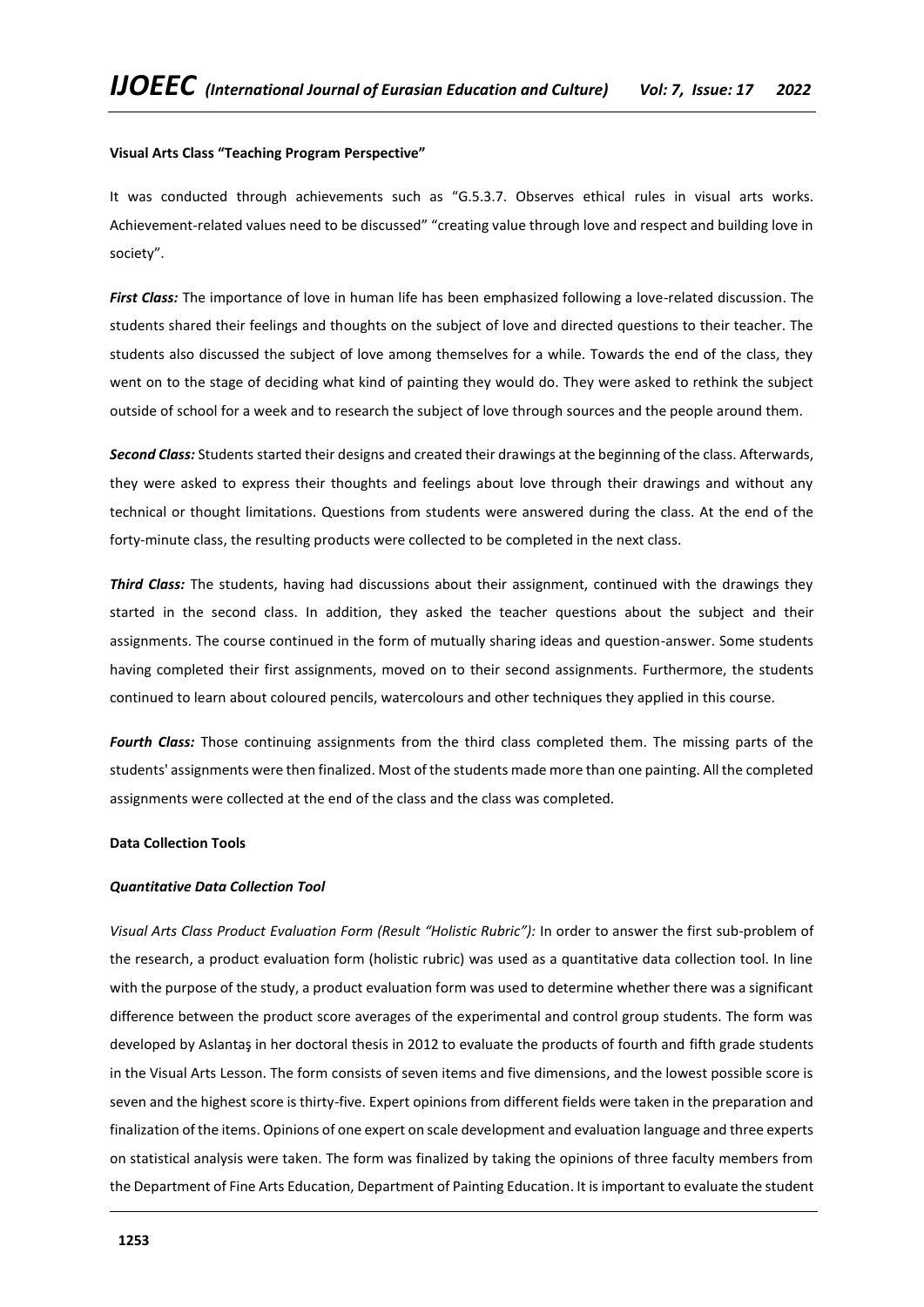## **Visual Arts Class "Teaching Program Perspective"**

It was conducted through achievements such as "G.5.3.7. Observes ethical rules in visual arts works. Achievement-related values need to be discussed" "creating value through love and respect and building love in society".

*First Class:* The importance of love in human life has been emphasized following a love-related discussion. The students shared their feelings and thoughts on the subject of love and directed questions to their teacher. The students also discussed the subject of love among themselves for a while. Towards the end of the class, they went on to the stage of deciding what kind of painting they would do. They were asked to rethink the subject outside of school for a week and to research the subject of love through sources and the people around them.

*Second Class:* Students started their designs and created their drawings at the beginning of the class. Afterwards, they were asked to express their thoughts and feelings about love through their drawings and without any technical or thought limitations. Questions from students were answered during the class. At the end of the forty-minute class, the resulting products were collected to be completed in the next class.

*Third Class:* The students, having had discussions about their assignment, continued with the drawings they started in the second class. In addition, they asked the teacher questions about the subject and their assignments. The course continued in the form of mutually sharing ideas and question-answer. Some students having completed their first assignments, moved on to their second assignments. Furthermore, the students continued to learn about coloured pencils, watercolours and other techniques they applied in this course.

*Fourth Class:* Those continuing assignments from the third class completed them. The missing parts of the students' assignments were then finalized. Most of the students made more than one painting. All the completed assignments were collected at the end of the class and the class was completed.

## **Data Collection Tools**

#### *Quantitative Data Collection Tool*

*Visual Arts Class Product Evaluation Form (Result "Holistic Rubric"):* In order to answer the first sub-problem of the research, a product evaluation form (holistic rubric) was used as a quantitative data collection tool. In line with the purpose of the study, a product evaluation form was used to determine whether there was a significant difference between the product score averages of the experimental and control group students. The form was developed by Aslantaş in her doctoral thesis in 2012 to evaluate the products of fourth and fifth grade students in the Visual Arts Lesson. The form consists of seven items and five dimensions, and the lowest possible score is seven and the highest score is thirty-five. Expert opinions from different fields were taken in the preparation and finalization of the items. Opinions of one expert on scale development and evaluation language and three experts on statistical analysis were taken. The form was finalized by taking the opinions of three faculty members from the Department of Fine Arts Education, Department of Painting Education. It is important to evaluate the student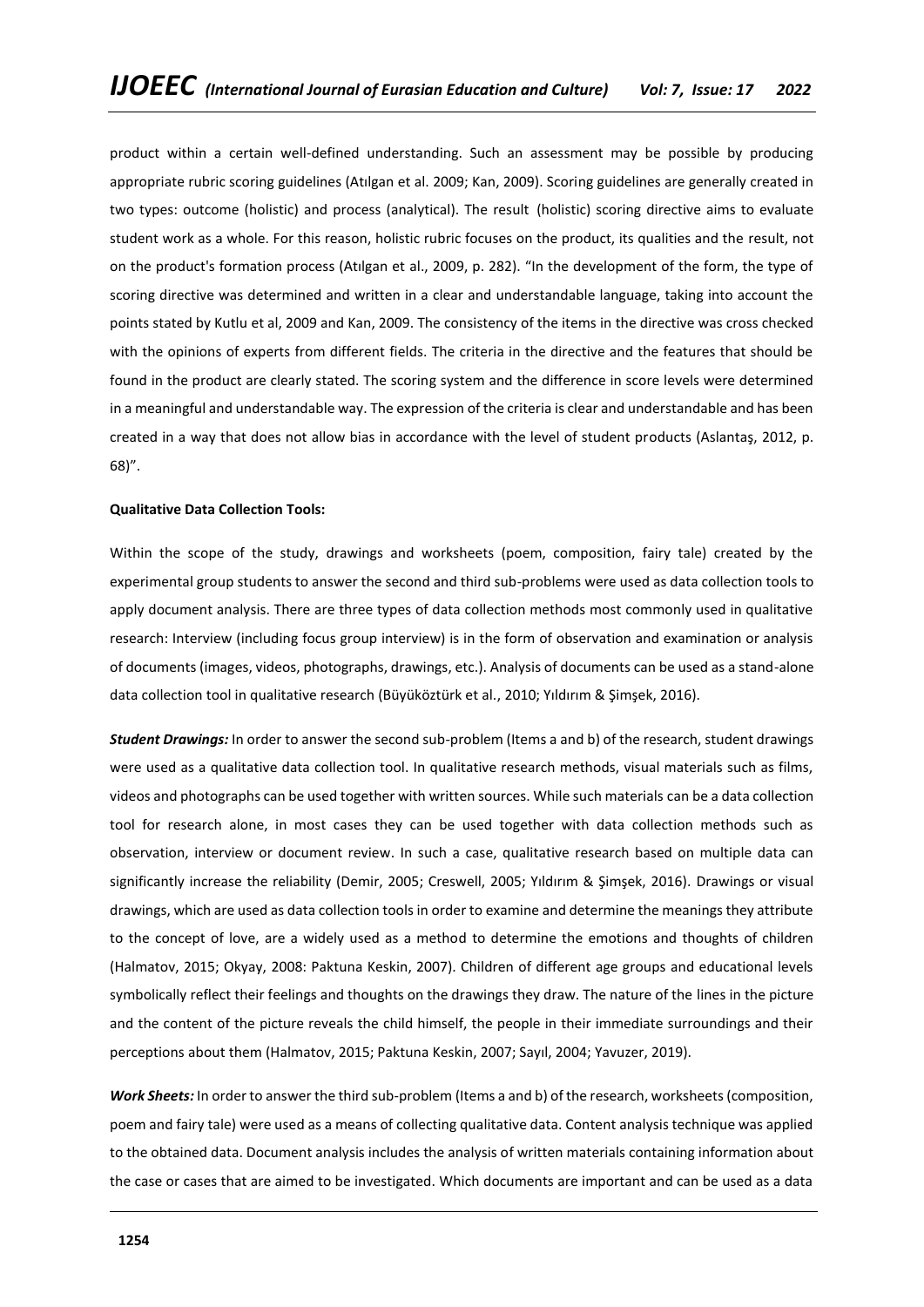product within a certain well-defined understanding. Such an assessment may be possible by producing appropriate rubric scoring guidelines (Atılgan et al. 2009; Kan, 2009). Scoring guidelines are generally created in two types: outcome (holistic) and process (analytical). The result (holistic) scoring directive aims to evaluate student work as a whole. For this reason, holistic rubric focuses on the product, its qualities and the result, not on the product's formation process (Atılgan et al., 2009, p. 282). "In the development of the form, the type of scoring directive was determined and written in a clear and understandable language, taking into account the points stated by Kutlu et al, 2009 and Kan, 2009. The consistency of the items in the directive was cross checked with the opinions of experts from different fields. The criteria in the directive and the features that should be found in the product are clearly stated. The scoring system and the difference in score levels were determined in a meaningful and understandable way. The expression of the criteria is clear and understandable and has been created in a way that does not allow bias in accordance with the level of student products (Aslantaş, 2012, p. 68)".

## **Qualitative Data Collection Tools:**

Within the scope of the study, drawings and worksheets (poem, composition, fairy tale) created by the experimental group students to answer the second and third sub-problems were used as data collection tools to apply document analysis. There are three types of data collection methods most commonly used in qualitative research: Interview (including focus group interview) is in the form of observation and examination or analysis of documents (images, videos, photographs, drawings, etc.). Analysis of documents can be used as a stand-alone data collection tool in qualitative research (Büyüköztürk et al., 2010; Yıldırım & Şimşek, 2016).

*Student Drawings:* In order to answer the second sub-problem (Items a and b) of the research, student drawings were used as a qualitative data collection tool. In qualitative research methods, visual materials such as films, videos and photographs can be used together with written sources. While such materials can be a data collection tool for research alone, in most cases they can be used together with data collection methods such as observation, interview or document review. In such a case, qualitative research based on multiple data can significantly increase the reliability (Demir, 2005; Creswell, 2005; Yıldırım & Şimşek, 2016). Drawings or visual drawings, which are used as data collection tools in order to examine and determine the meanings they attribute to the concept of love, are a widely used as a method to determine the emotions and thoughts of children (Halmatov, 2015; Okyay, 2008: Paktuna Keskin, 2007). Children of different age groups and educational levels symbolically reflect their feelings and thoughts on the drawings they draw. The nature of the lines in the picture and the content of the picture reveals the child himself, the people in their immediate surroundings and their perceptions about them (Halmatov, 2015; Paktuna Keskin, 2007; Sayıl, 2004; Yavuzer, 2019).

*Work Sheets:* In order to answer the third sub-problem (Items a and b) of the research, worksheets (composition, poem and fairy tale) were used as a means of collecting qualitative data. Content analysis technique was applied to the obtained data. Document analysis includes the analysis of written materials containing information about the case or cases that are aimed to be investigated. Which documents are important and can be used as a data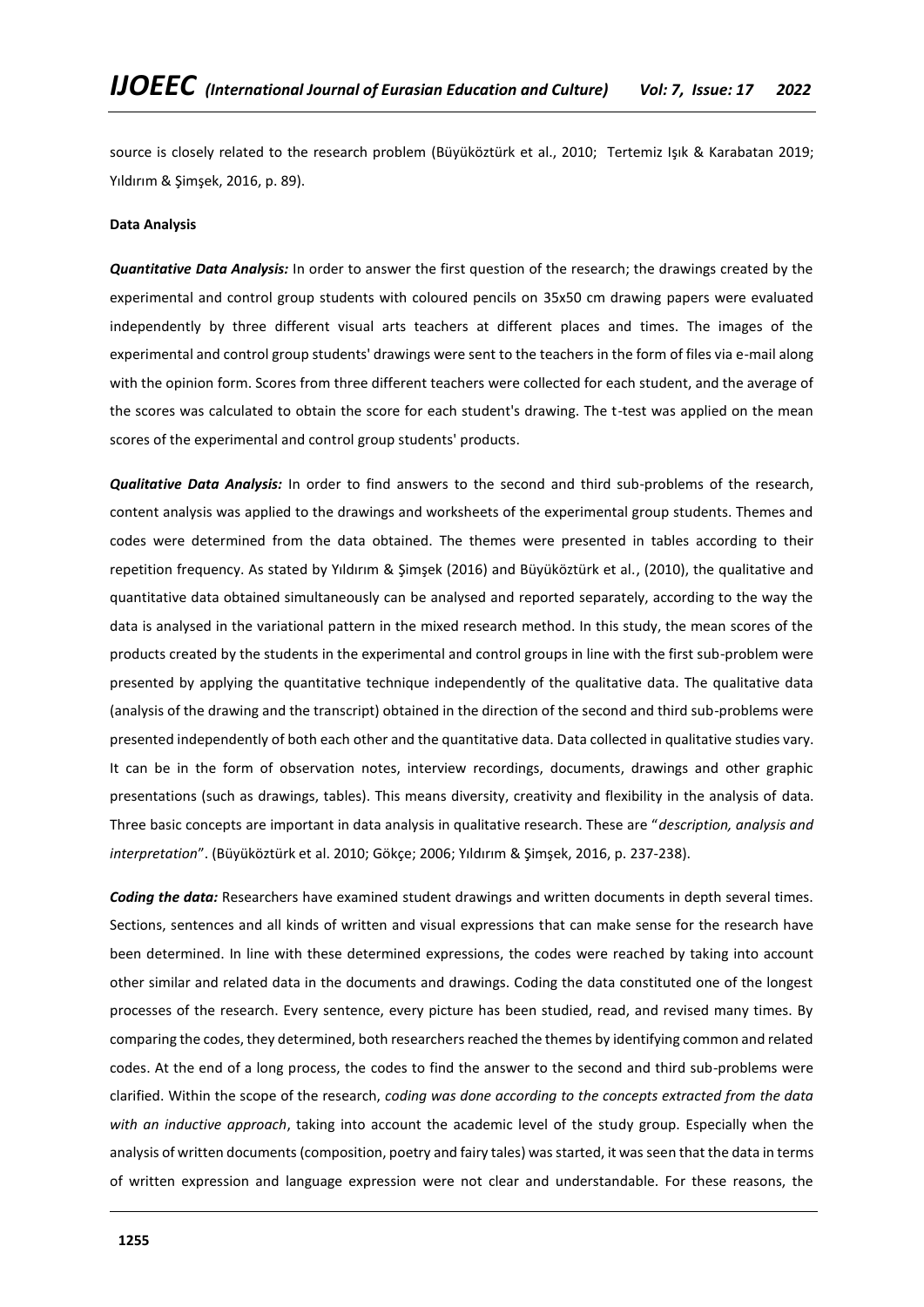source is closely related to the research problem (Büyüköztürk et al., 2010; Tertemiz Işık & Karabatan 2019; Yıldırım & Şimşek, 2016, p. 89).

## **Data Analysis**

*Quantitative Data Analysis:* In order to answer the first question of the research; the drawings created by the experimental and control group students with coloured pencils on 35x50 cm drawing papers were evaluated independently by three different visual arts teachers at different places and times. The images of the experimental and control group students' drawings were sent to the teachers in the form of files via e-mail along with the opinion form. Scores from three different teachers were collected for each student, and the average of the scores was calculated to obtain the score for each student's drawing. The t-test was applied on the mean scores of the experimental and control group students' products.

*Qualitative Data Analysis:* In order to find answers to the second and third sub-problems of the research, content analysis was applied to the drawings and worksheets of the experimental group students. Themes and codes were determined from the data obtained. The themes were presented in tables according to their repetition frequency. As stated by Yıldırım & Şimşek (2016) and Büyüköztürk et al., (2010), the qualitative and quantitative data obtained simultaneously can be analysed and reported separately, according to the way the data is analysed in the variational pattern in the mixed research method. In this study, the mean scores of the products created by the students in the experimental and control groups in line with the first sub-problem were presented by applying the quantitative technique independently of the qualitative data. The qualitative data (analysis of the drawing and the transcript) obtained in the direction of the second and third sub-problems were presented independently of both each other and the quantitative data. Data collected in qualitative studies vary. It can be in the form of observation notes, interview recordings, documents, drawings and other graphic presentations (such as drawings, tables). This means diversity, creativity and flexibility in the analysis of data. Three basic concepts are important in data analysis in qualitative research. These are "*description, analysis and interpretation*". (Büyüköztürk et al. 2010; Gökçe; 2006; Yıldırım & Şimşek, 2016, p. 237-238).

*Coding the data:* Researchers have examined student drawings and written documents in depth several times. Sections, sentences and all kinds of written and visual expressions that can make sense for the research have been determined. In line with these determined expressions, the codes were reached by taking into account other similar and related data in the documents and drawings. Coding the data constituted one of the longest processes of the research. Every sentence, every picture has been studied, read, and revised many times. By comparing the codes, they determined, both researchers reached the themes by identifying common and related codes. At the end of a long process, the codes to find the answer to the second and third sub-problems were clarified. Within the scope of the research, *coding was done according to the concepts extracted from the data with an inductive approach*, taking into account the academic level of the study group. Especially when the analysis of written documents (composition, poetry and fairy tales) was started, it was seen that the data in terms of written expression and language expression were not clear and understandable. For these reasons, the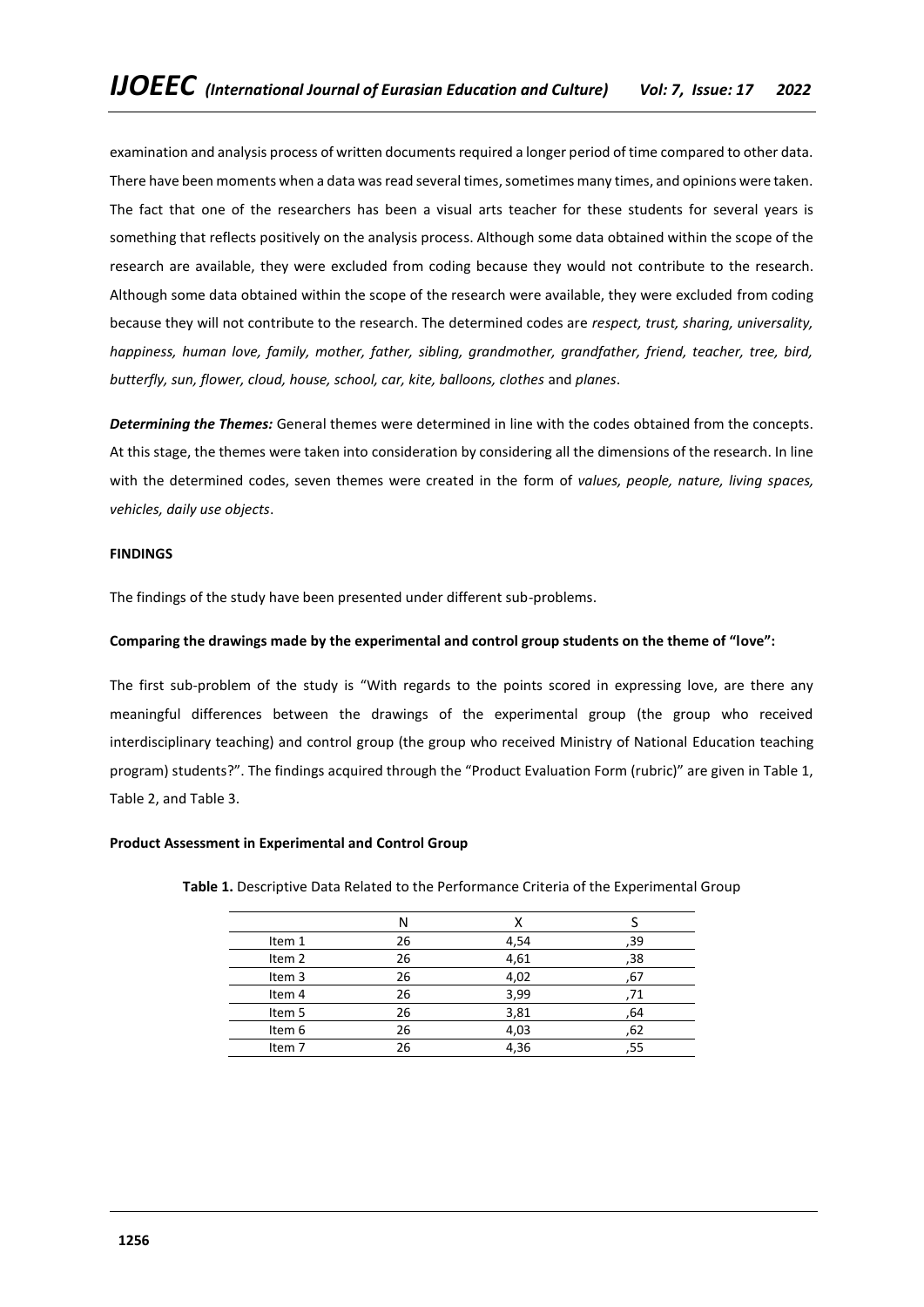examination and analysis process of written documents required a longer period of time compared to other data. There have been moments when a data was read several times, sometimes many times, and opinions were taken. The fact that one of the researchers has been a visual arts teacher for these students for several years is something that reflects positively on the analysis process. Although some data obtained within the scope of the research are available, they were excluded from coding because they would not contribute to the research. Although some data obtained within the scope of the research were available, they were excluded from coding because they will not contribute to the research. The determined codes are *respect, trust, sharing, universality, happiness, human love, family, mother, father, sibling, grandmother, grandfather, friend, teacher, tree, bird, butterfly, sun, flower, cloud, house, school, car, kite, balloons, clothes* and *planes*.

*Determining the Themes:* General themes were determined in line with the codes obtained from the concepts. At this stage, the themes were taken into consideration by considering all the dimensions of the research. In line with the determined codes, seven themes were created in the form of *values, people, nature, living spaces, vehicles, daily use objects*.

# **FINDINGS**

The findings of the study have been presented under different sub-problems.

# **Comparing the drawings made by the experimental and control group students on the theme of "love":**

The first sub-problem of the study is "With regards to the points scored in expressing love, are there any meaningful differences between the drawings of the experimental group (the group who received interdisciplinary teaching) and control group (the group who received Ministry of National Education teaching program) students?". The findings acquired through the "Product Evaluation Form (rubric)" are given in Table 1, Table 2, and Table 3.

# **Product Assessment in Experimental and Control Group**

**Table 1.** Descriptive Data Related to the Performance Criteria of the Experimental Group

|                   | Ν  |      |     |
|-------------------|----|------|-----|
| Item 1            | 26 | 4,54 | ,39 |
| Item 2            | 26 | 4,61 | ,38 |
| Item 3            | 26 | 4,02 | .67 |
| Item 4            | 26 | 3,99 |     |
| Item 5            | 26 | 3,81 | ,64 |
| Item 6            | 26 | 4,03 | .62 |
| Item <sub>7</sub> | 26 | 4,36 | 55, |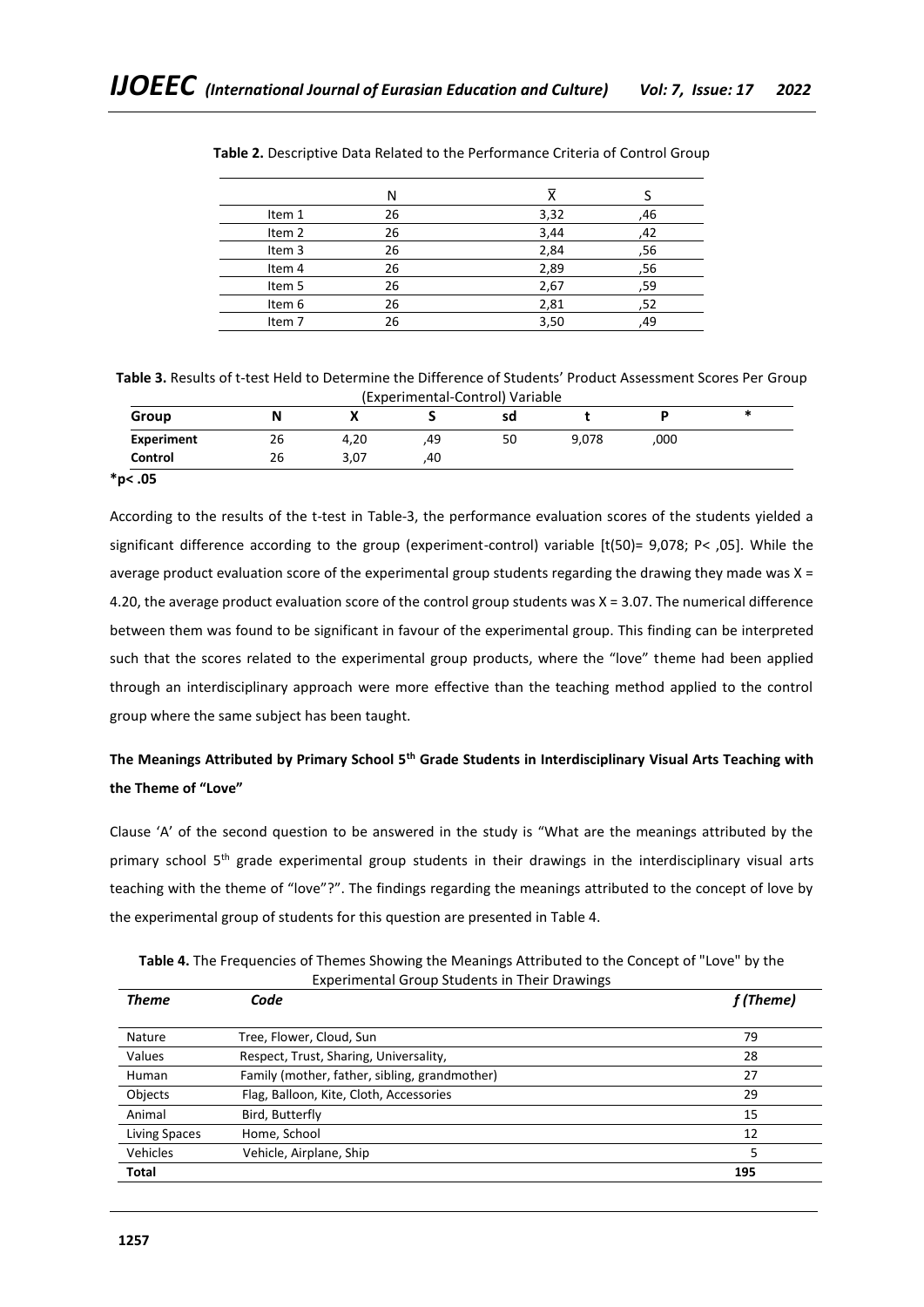| Item 1            | 26 | 3,32 | 46  |
|-------------------|----|------|-----|
| Item 2            | 26 | 3,44 | 42  |
| Item <sub>3</sub> | 26 | 2,84 | 56  |
| Item 4            | 26 | 2,89 | ,56 |
| Item 5            | 26 | 2,67 | 59  |
| Item 6            | 26 | 2,81 | 52  |
| Item <sub>7</sub> | 26 | 3,50 | 49  |

**Table 2.** Descriptive Data Related to the Performance Criteria of Control Group

**Table 3.** Results of t-test Held to Determine the Difference of Students' Product Assessment Scores Per Group (Experimental-Control) Variable

| Group             |    | ,,   |     | sd |       |      |  |
|-------------------|----|------|-----|----|-------|------|--|
| <b>Experiment</b> | 26 | 4,20 | .49 | 50 | 9,078 | ,000 |  |
| Control           | 26 | 3,07 | 40  |    |       |      |  |

**\*p< .05** 

According to the results of the t-test in Table-3, the performance evaluation scores of the students yielded a significant difference according to the group (experiment-control) variable [t(50)= 9,078; P< ,05]. While the average product evaluation score of the experimental group students regarding the drawing they made was  $X =$ 4.20, the average product evaluation score of the control group students was X = 3.07. The numerical difference between them was found to be significant in favour of the experimental group. This finding can be interpreted such that the scores related to the experimental group products, where the "love" theme had been applied through an interdisciplinary approach were more effective than the teaching method applied to the control group where the same subject has been taught.

# **The Meanings Attributed by Primary School 5th Grade Students in Interdisciplinary Visual Arts Teaching with the Theme of "Love"**

Clause 'A' of the second question to be answered in the study is "What are the meanings attributed by the primary school 5<sup>th</sup> grade experimental group students in their drawings in the interdisciplinary visual arts teaching with the theme of "love"?". The findings regarding the meanings attributed to the concept of love by the experimental group of students for this question are presented in Table 4.

| <b>Theme</b>  | Code                                          | f (Theme) |
|---------------|-----------------------------------------------|-----------|
| <b>Nature</b> | Tree, Flower, Cloud, Sun                      | 79        |
| Values        | Respect, Trust, Sharing, Universality,        | 28        |
| Human         | Family (mother, father, sibling, grandmother) | 27        |
| Objects       | Flag, Balloon, Kite, Cloth, Accessories       | 29        |
| Animal        | Bird, Butterfly                               | 15        |
| Living Spaces | Home, School                                  | 12        |
| Vehicles      | Vehicle, Airplane, Ship                       | 5         |
| Total         |                                               | 195       |

**Table 4.** The Frequencies of Themes Showing the Meanings Attributed to the Concept of "Love" by the Experimental Group Students in Their Drawings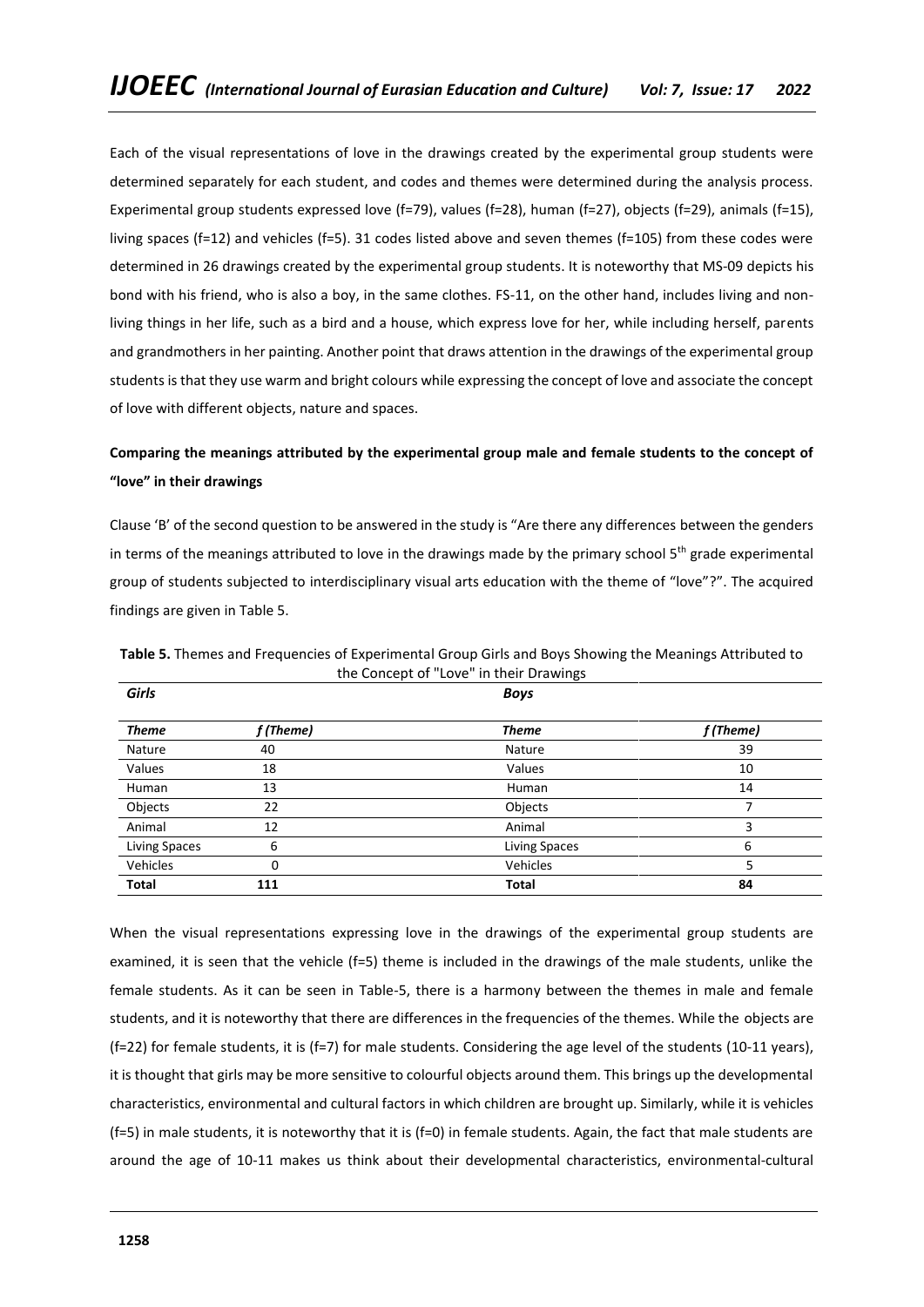Each of the visual representations of love in the drawings created by the experimental group students were determined separately for each student, and codes and themes were determined during the analysis process. Experimental group students expressed love (f=79), values (f=28), human (f=27), objects (f=29), animals (f=15), living spaces (f=12) and vehicles (f=5). 31 codes listed above and seven themes (f=105) from these codes were determined in 26 drawings created by the experimental group students. It is noteworthy that MS-09 depicts his bond with his friend, who is also a boy, in the same clothes. FS-11, on the other hand, includes living and nonliving things in her life, such as a bird and a house, which express love for her, while including herself, parents and grandmothers in her painting. Another point that draws attention in the drawings of the experimental group students is that they use warm and bright colours while expressing the concept of love and associate the concept of love with different objects, nature and spaces.

# **Comparing the meanings attributed by the experimental group male and female students to the concept of "love" in their drawings**

Clause 'B' of the second question to be answered in the study is "Are there any differences between the genders in terms of the meanings attributed to love in the drawings made by the primary school  $5<sup>th</sup>$  grade experimental group of students subjected to interdisciplinary visual arts education with the theme of "love"?". The acquired findings are given in Table 5.

| Girls         |           | <b>Boys</b>   |           |  |
|---------------|-----------|---------------|-----------|--|
| <b>Theme</b>  | f (Theme) | <b>Theme</b>  | f (Theme) |  |
| Nature        | 40        | Nature        | 39        |  |
| Values        | 18        | Values        | 10        |  |
| Human         | 13        | Human         | 14        |  |
| Objects       | 22        | Objects       |           |  |
| Animal        | 12        | Animal        | 3         |  |
| Living Spaces | 6         | Living Spaces | 6         |  |
| Vehicles      | 0         | Vehicles      | 5         |  |
| <b>Total</b>  | 111       | <b>Total</b>  | 84        |  |

**Table 5.** Themes and Frequencies of Experimental Group Girls and Boys Showing the Meanings Attributed to the Concept of "Love" in their Drawings

When the visual representations expressing love in the drawings of the experimental group students are examined, it is seen that the vehicle (f=5) theme is included in the drawings of the male students, unlike the female students. As it can be seen in Table-5, there is a harmony between the themes in male and female students, and it is noteworthy that there are differences in the frequencies of the themes. While the objects are (f=22) for female students, it is (f=7) for male students. Considering the age level of the students (10-11 years), it is thought that girls may be more sensitive to colourful objects around them. This brings up the developmental characteristics, environmental and cultural factors in which children are brought up. Similarly, while it is vehicles  $(f=5)$  in male students, it is noteworthy that it is  $(f=0)$  in female students. Again, the fact that male students are around the age of 10-11 makes us think about their developmental characteristics, environmental-cultural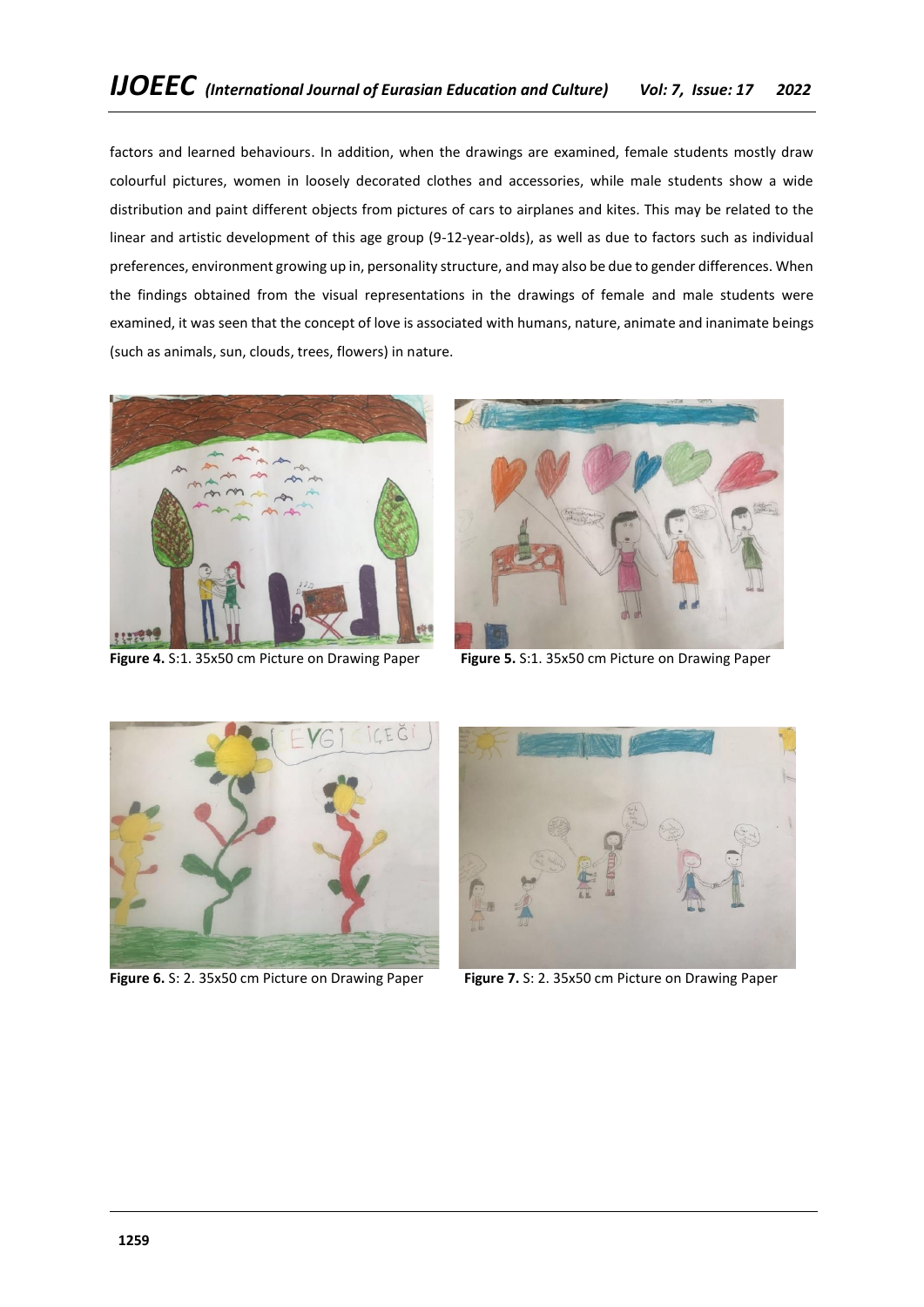factors and learned behaviours. In addition, when the drawings are examined, female students mostly draw colourful pictures, women in loosely decorated clothes and accessories, while male students show a wide distribution and paint different objects from pictures of cars to airplanes and kites. This may be related to the linear and artistic development of this age group (9-12-year-olds), as well as due to factors such as individual preferences, environment growing up in, personality structure, and may also be due to gender differences. When the findings obtained from the visual representations in the drawings of female and male students were examined, it was seen that the concept of love is associated with humans, nature, animate and inanimate beings (such as animals, sun, clouds, trees, flowers) in nature.



**Figure 4.** S:1. 35x50 cm Picture on Drawing Paper **Figure 5.** S:1. 35x50 cm Picture on Drawing Paper







**Figure 6.** S: 2. 35x50 cm Picture on Drawing Paper **Figure 7.** S: 2. 35x50 cm Picture on Drawing Paper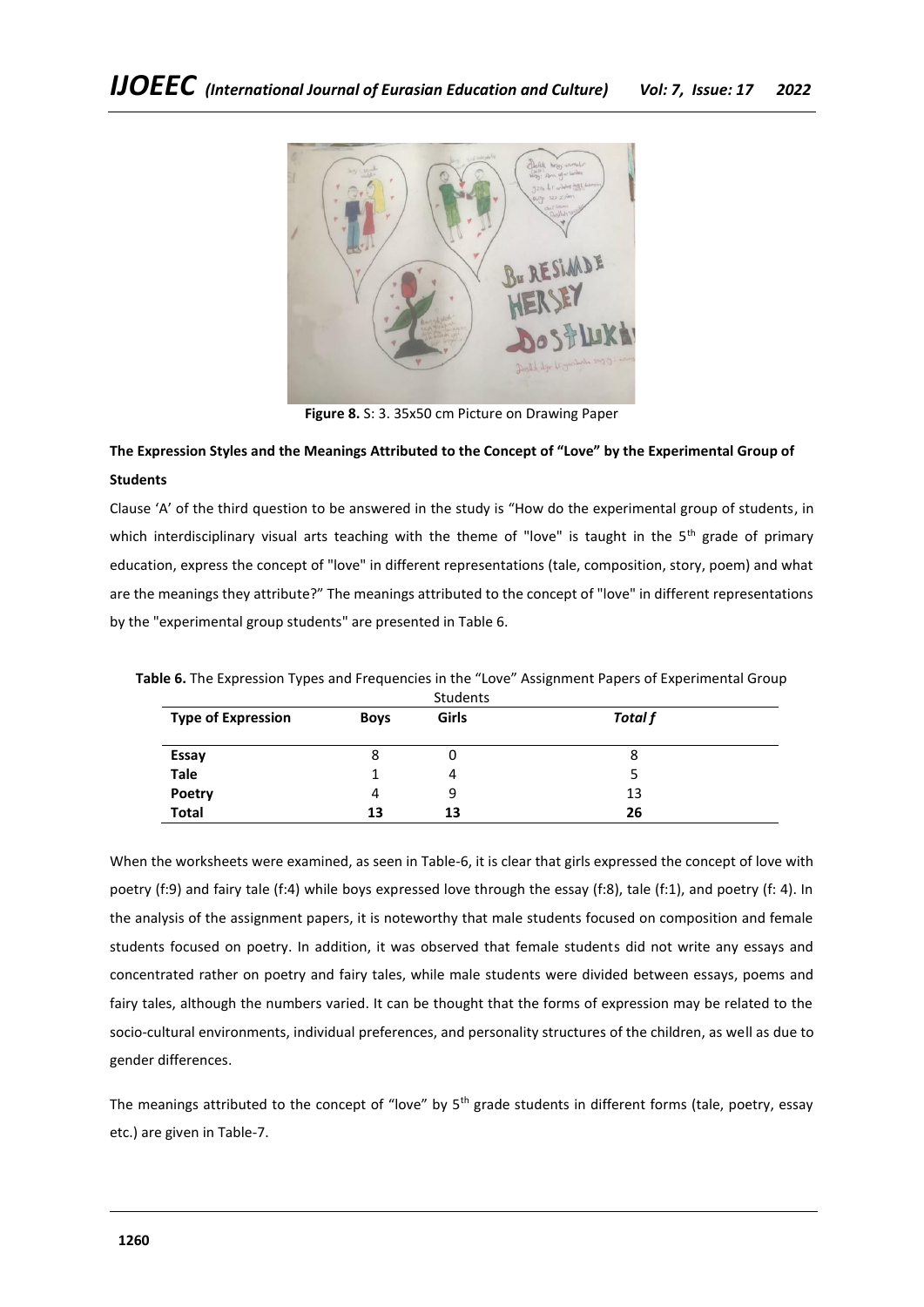

**Figure 8.** S: 3. 35x50 cm Picture on Drawing Paper

# **The Expression Styles and the Meanings Attributed to the Concept of "Love" by the Experimental Group of Students**

Clause 'A' of the third question to be answered in the study is "How do the experimental group of students, in which interdisciplinary visual arts teaching with the theme of "love" is taught in the 5<sup>th</sup> grade of primary education, express the concept of "love" in different representations (tale, composition, story, poem) and what are the meanings they attribute?" The meanings attributed to the concept of "love" in different representations by the "experimental group students" are presented in Table 6.

|                           |             | Students |         |  |
|---------------------------|-------------|----------|---------|--|
| <b>Type of Expression</b> | <b>Boys</b> | Girls    | Total f |  |
| <b>Essay</b>              | δ           | U        | 8       |  |
| Tale                      |             |          |         |  |
| Poetry                    | 4           | g        | 13      |  |
| <b>Total</b>              | 13          | 13       | 26      |  |

**Table 6.** The Expression Types and Frequencies in the "Love" Assignment Papers of Experimental Group

When the worksheets were examined, as seen in Table-6, it is clear that girls expressed the concept of love with poetry (f:9) and fairy tale (f:4) while boys expressed love through the essay (f:8), tale (f:1), and poetry (f: 4). In the analysis of the assignment papers, it is noteworthy that male students focused on composition and female students focused on poetry. In addition, it was observed that female students did not write any essays and concentrated rather on poetry and fairy tales, while male students were divided between essays, poems and fairy tales, although the numbers varied. It can be thought that the forms of expression may be related to the socio-cultural environments, individual preferences, and personality structures of the children, as well as due to gender differences.

The meanings attributed to the concept of "love" by 5<sup>th</sup> grade students in different forms (tale, poetry, essay etc.) are given in Table-7.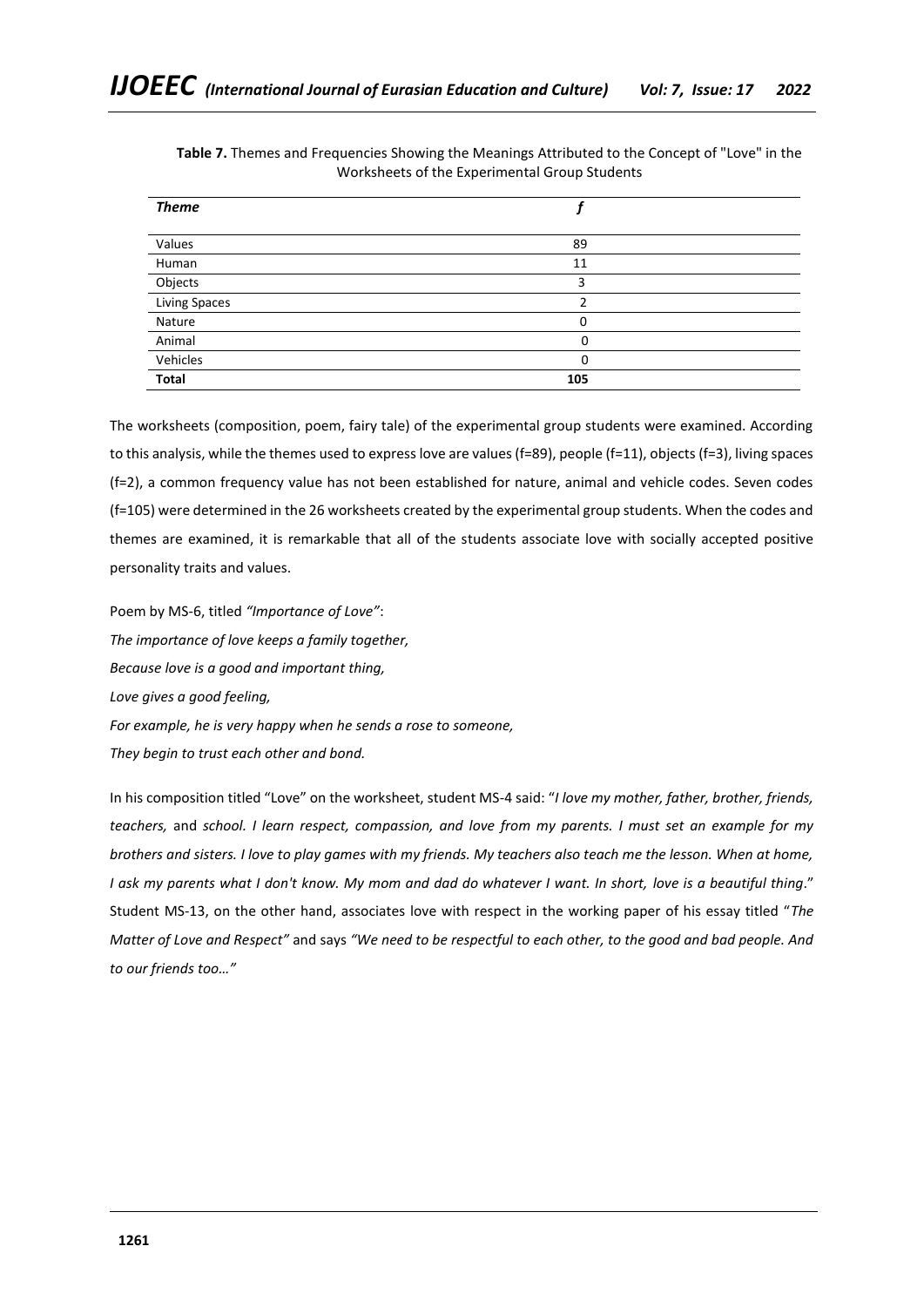| <b>Theme</b>         |          |  |
|----------------------|----------|--|
|                      |          |  |
| Values               | 89       |  |
| Human                | 11       |  |
| Objects              | 3        |  |
| <b>Living Spaces</b> |          |  |
| Nature               | 0        |  |
| Animal               | $\Omega$ |  |
| Vehicles             | 0        |  |
| <b>Total</b>         | 105      |  |

**Table 7.** Themes and Frequencies Showing the Meanings Attributed to the Concept of "Love" in the Worksheets of the Experimental Group Students

The worksheets (composition, poem, fairy tale) of the experimental group students were examined. According to this analysis, while the themes used to express love are values (f=89), people (f=11), objects (f=3), living spaces (f=2), a common frequency value has not been established for nature, animal and vehicle codes. Seven codes (f=105) were determined in the 26 worksheets created by the experimental group students. When the codes and themes are examined, it is remarkable that all of the students associate love with socially accepted positive personality traits and values.

Poem by MS-6, titled *"Importance of Love"*: *The importance of love keeps a family together, Because love is a good and important thing, Love gives a good feeling, For example, he is very happy when he sends a rose to someone, They begin to trust each other and bond.* 

In his composition titled "Love" on the worksheet, student MS-4 said: "*I love my mother, father, brother, friends, teachers,* and *school. I learn respect, compassion, and love from my parents. I must set an example for my brothers and sisters. I love to play games with my friends. My teachers also teach me the lesson. When at home, I ask my parents what I don't know. My mom and dad do whatever I want. In short, love is a beautiful thing*." Student MS-13, on the other hand, associates love with respect in the working paper of his essay titled "*The Matter of Love and Respect"* and says *"We need to be respectful to each other, to the good and bad people. And to our friends too…"*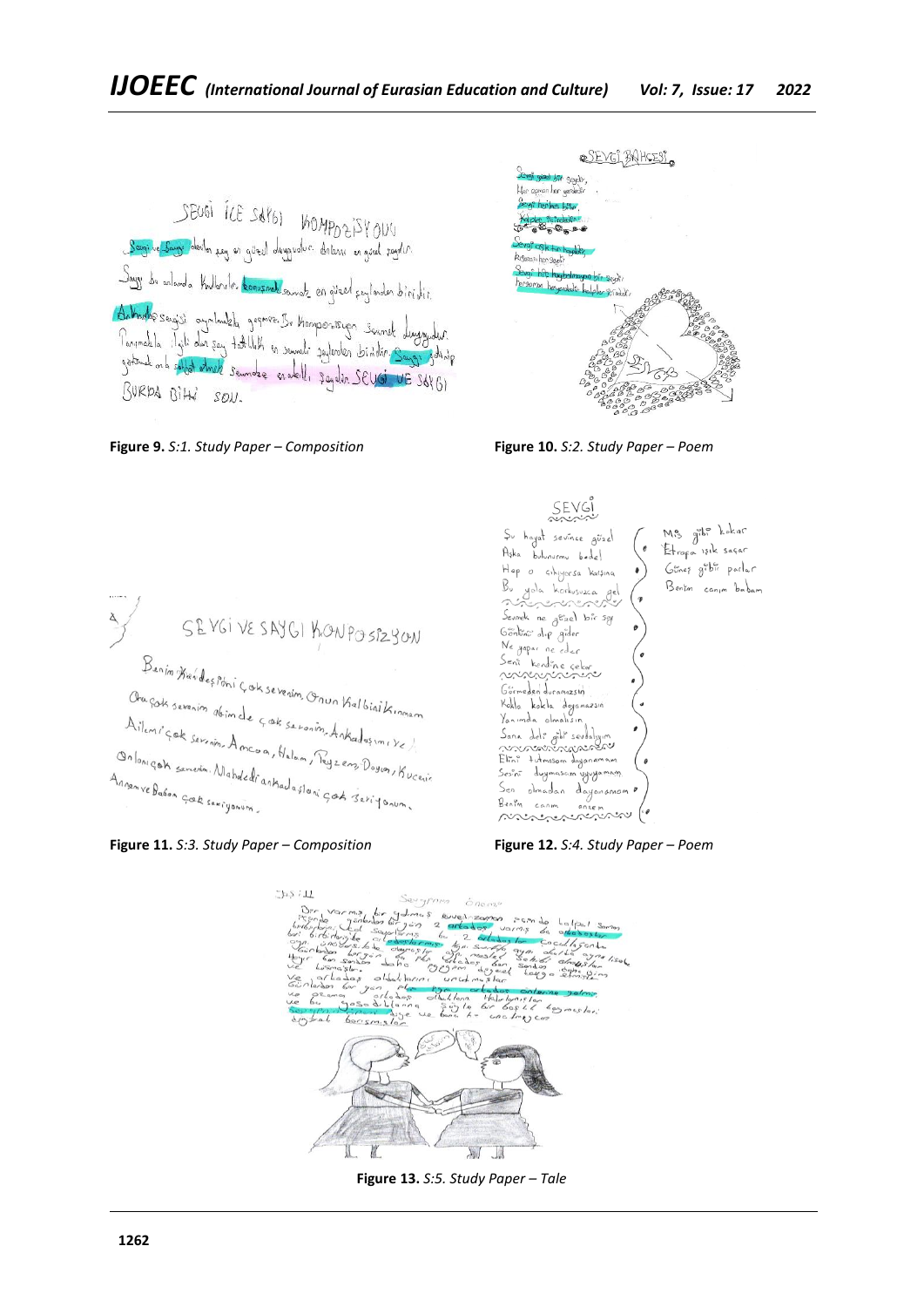













Su hayat sevince güzel Aska bulunurmu bedel Hep o cihyorsa karsina Bu yola Korkusuzca vola horkusuzca gel Sermek ne gêzel bir sey Gontono dip gider Ne yapar ne eder Sent kendine celor Gormeden duramozsin Kokla kokla doyamazsın Janimala olmalisin<br>Sana deli gibi sevaalyim<br>Elini + tumssom dayanamam<br>Elini + tumssom dayanamam Sesint duymasam wywyamam Sen olmadan dayanaman p Benin canin الممدس وساحد محدود من المحدث المحدد المستحدث

 $M_{\text{B}}^{\text{e}}$  gibi kokar <sup>0</sup> Etropa isik safar Günez gibir parlar Benin canin babam



**Figure 13.** *S:5. Study Paper – Tale*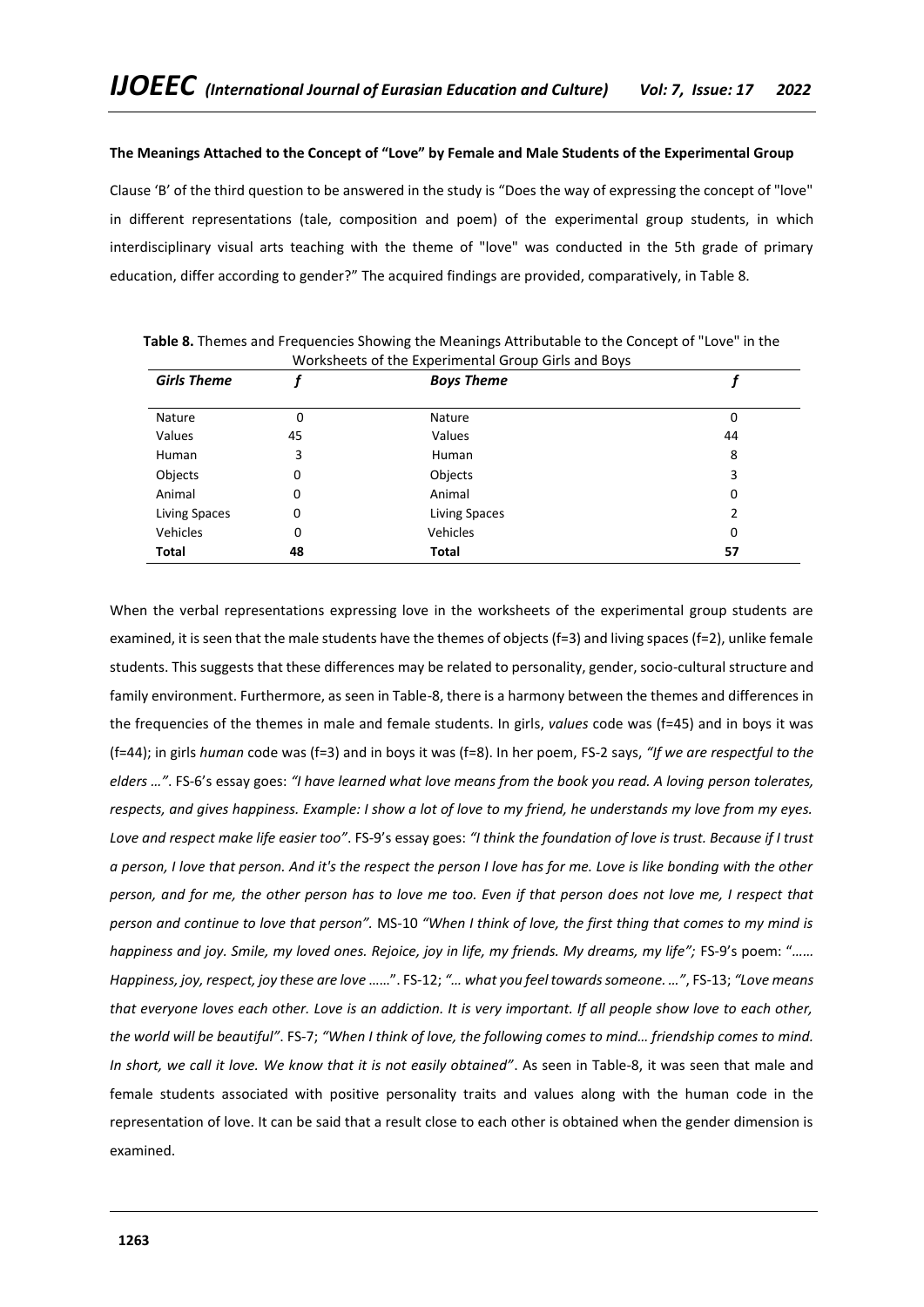## **The Meanings Attached to the Concept of "Love" by Female and Male Students of the Experimental Group**

Clause 'B' of the third question to be answered in the study is "Does the way of expressing the concept of "love" in different representations (tale, composition and poem) of the experimental group students, in which interdisciplinary visual arts teaching with the theme of "love" was conducted in the 5th grade of primary education, differ according to gender?" The acquired findings are provided, comparatively, in Table 8.

| <b>Girls Theme</b> |    | <b>Boys Theme</b> |    |
|--------------------|----|-------------------|----|
| Nature             | 0  | Nature            | 0  |
| Values             | 45 | Values            | 44 |
| Human              | 3  | Human             | 8  |
| Objects            | 0  | Objects           | 3  |
| Animal             | 0  | Animal            | 0  |
| Living Spaces      | 0  | Living Spaces     | 2  |
| Vehicles           | 0  | Vehicles          | 0  |
| Total              | 48 | Total             | 57 |

**Table 8.** Themes and Frequencies Showing the Meanings Attributable to the Concept of "Love" in the Worksheets of the Experimental Group Girls and Boys

When the verbal representations expressing love in the worksheets of the experimental group students are examined, it is seen that the male students have the themes of objects (f=3) and living spaces (f=2), unlike female students. This suggests that these differences may be related to personality, gender, socio-cultural structure and family environment. Furthermore, as seen in Table-8, there is a harmony between the themes and differences in the frequencies of the themes in male and female students. In girls, *values* code was (f=45) and in boys it was (f=44); in girls *human* code was (f=3) and in boys it was (f=8). In her poem, FS-2 says, *"If we are respectful to the elders …"*. FS-6's essay goes: *"I have learned what love means from the book you read. A loving person tolerates, respects, and gives happiness. Example: I show a lot of love to my friend, he understands my love from my eyes. Love and respect make life easier too"*. FS-9's essay goes: *"I think the foundation of love is trust. Because if I trust a person, I love that person. And it's the respect the person I love has for me. Love is like bonding with the other person, and for me, the other person has to love me too. Even if that person does not love me, I respect that person and continue to love that person".* MS-10 *"When I think of love, the first thing that comes to my mind is happiness and joy. Smile, my loved ones. Rejoice, joy in life, my friends. My dreams, my life";* FS-9's poem: "*…… Happiness, joy, respect, joy these are love* ……". FS-12; *"… what you feel towards someone. …"*, FS-13; *"Love means that everyone loves each other. Love is an addiction. It is very important. If all people show love to each other, the world will be beautiful"*. FS-7; *"When I think of love, the following comes to mind… friendship comes to mind. In short, we call it love. We know that it is not easily obtained"*. As seen in Table-8, it was seen that male and female students associated with positive personality traits and values along with the human code in the representation of love. It can be said that a result close to each other is obtained when the gender dimension is examined.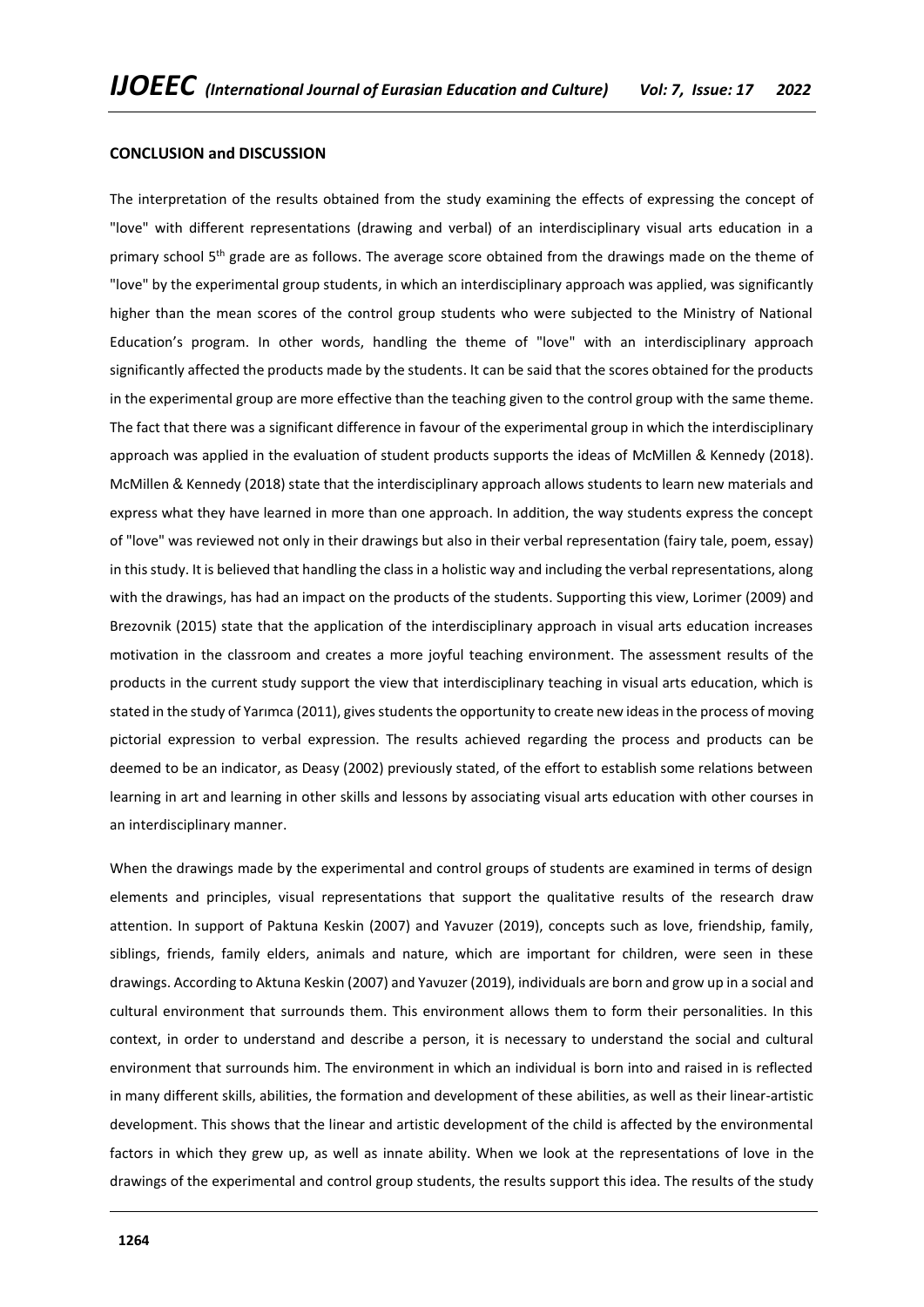## **CONCLUSION and DISCUSSION**

The interpretation of the results obtained from the study examining the effects of expressing the concept of "love" with different representations (drawing and verbal) of an interdisciplinary visual arts education in a primary school 5<sup>th</sup> grade are as follows. The average score obtained from the drawings made on the theme of "love" by the experimental group students, in which an interdisciplinary approach was applied, was significantly higher than the mean scores of the control group students who were subjected to the Ministry of National Education's program. In other words, handling the theme of "love" with an interdisciplinary approach significantly affected the products made by the students. It can be said that the scores obtained for the products in the experimental group are more effective than the teaching given to the control group with the same theme. The fact that there was a significant difference in favour of the experimental group in which the interdisciplinary approach was applied in the evaluation of student products supports the ideas of McMillen & Kennedy (2018). McMillen & Kennedy (2018) state that the interdisciplinary approach allows students to learn new materials and express what they have learned in more than one approach. In addition, the way students express the concept of "love" was reviewed not only in their drawings but also in their verbal representation (fairy tale, poem, essay) in this study. It is believed that handling the class in a holistic way and including the verbal representations, along with the drawings, has had an impact on the products of the students. Supporting this view, Lorimer (2009) and Brezovnik (2015) state that the application of the interdisciplinary approach in visual arts education increases motivation in the classroom and creates a more joyful teaching environment. The assessment results of the products in the current study support the view that interdisciplinary teaching in visual arts education, which is stated in the study of Yarımca (2011), gives students the opportunity to create new ideas in the process of moving pictorial expression to verbal expression. The results achieved regarding the process and products can be deemed to be an indicator, as Deasy (2002) previously stated, of the effort to establish some relations between learning in art and learning in other skills and lessons by associating visual arts education with other courses in an interdisciplinary manner.

When the drawings made by the experimental and control groups of students are examined in terms of design elements and principles, visual representations that support the qualitative results of the research draw attention. In support of Paktuna Keskin (2007) and Yavuzer (2019), concepts such as love, friendship, family, siblings, friends, family elders, animals and nature, which are important for children, were seen in these drawings. According to Aktuna Keskin (2007) and Yavuzer (2019), individuals are born and grow up in a social and cultural environment that surrounds them. This environment allows them to form their personalities. In this context, in order to understand and describe a person, it is necessary to understand the social and cultural environment that surrounds him. The environment in which an individual is born into and raised in is reflected in many different skills, abilities, the formation and development of these abilities, as well as their linear-artistic development. This shows that the linear and artistic development of the child is affected by the environmental factors in which they grew up, as well as innate ability. When we look at the representations of love in the drawings of the experimental and control group students, the results support this idea. The results of the study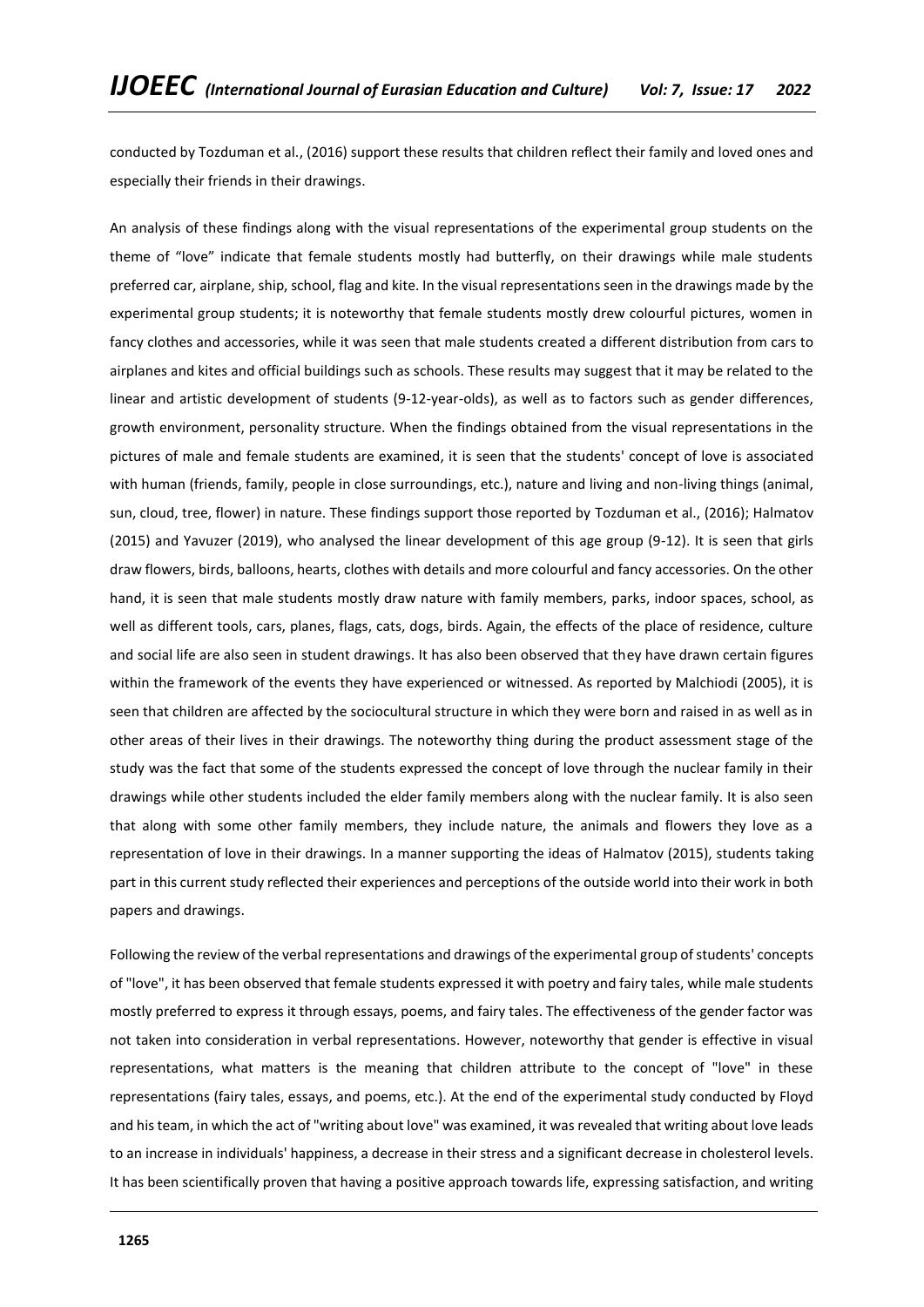conducted by Tozduman et al., (2016) support these results that children reflect their family and loved ones and especially their friends in their drawings.

An analysis of these findings along with the visual representations of the experimental group students on the theme of "love" indicate that female students mostly had butterfly, on their drawings while male students preferred car, airplane, ship, school, flag and kite. In the visual representations seen in the drawings made by the experimental group students; it is noteworthy that female students mostly drew colourful pictures, women in fancy clothes and accessories, while it was seen that male students created a different distribution from cars to airplanes and kites and official buildings such as schools. These results may suggest that it may be related to the linear and artistic development of students (9-12-year-olds), as well as to factors such as gender differences, growth environment, personality structure. When the findings obtained from the visual representations in the pictures of male and female students are examined, it is seen that the students' concept of love is associated with human (friends, family, people in close surroundings, etc.), nature and living and non-living things (animal, sun, cloud, tree, flower) in nature. These findings support those reported by Tozduman et al., (2016); Halmatov (2015) and Yavuzer (2019), who analysed the linear development of this age group (9-12). It is seen that girls draw flowers, birds, balloons, hearts, clothes with details and more colourful and fancy accessories. On the other hand, it is seen that male students mostly draw nature with family members, parks, indoor spaces, school, as well as different tools, cars, planes, flags, cats, dogs, birds. Again, the effects of the place of residence, culture and social life are also seen in student drawings. It has also been observed that they have drawn certain figures within the framework of the events they have experienced or witnessed. As reported by Malchiodi (2005), it is seen that children are affected by the sociocultural structure in which they were born and raised in as well as in other areas of their lives in their drawings. The noteworthy thing during the product assessment stage of the study was the fact that some of the students expressed the concept of love through the nuclear family in their drawings while other students included the elder family members along with the nuclear family. It is also seen that along with some other family members, they include nature, the animals and flowers they love as a representation of love in their drawings. In a manner supporting the ideas of Halmatov (2015), students taking part in this current study reflected their experiences and perceptions of the outside world into their work in both papers and drawings.

Following the review of the verbal representations and drawings of the experimental group of students' concepts of "love", it has been observed that female students expressed it with poetry and fairy tales, while male students mostly preferred to express it through essays, poems, and fairy tales. The effectiveness of the gender factor was not taken into consideration in verbal representations. However, noteworthy that gender is effective in visual representations, what matters is the meaning that children attribute to the concept of "love" in these representations (fairy tales, essays, and poems, etc.). At the end of the experimental study conducted by Floyd and his team, in which the act of "writing about love" was examined, it was revealed that writing about love leads to an increase in individuals' happiness, a decrease in their stress and a significant decrease in cholesterol levels. It has been scientifically proven that having a positive approach towards life, expressing satisfaction, and writing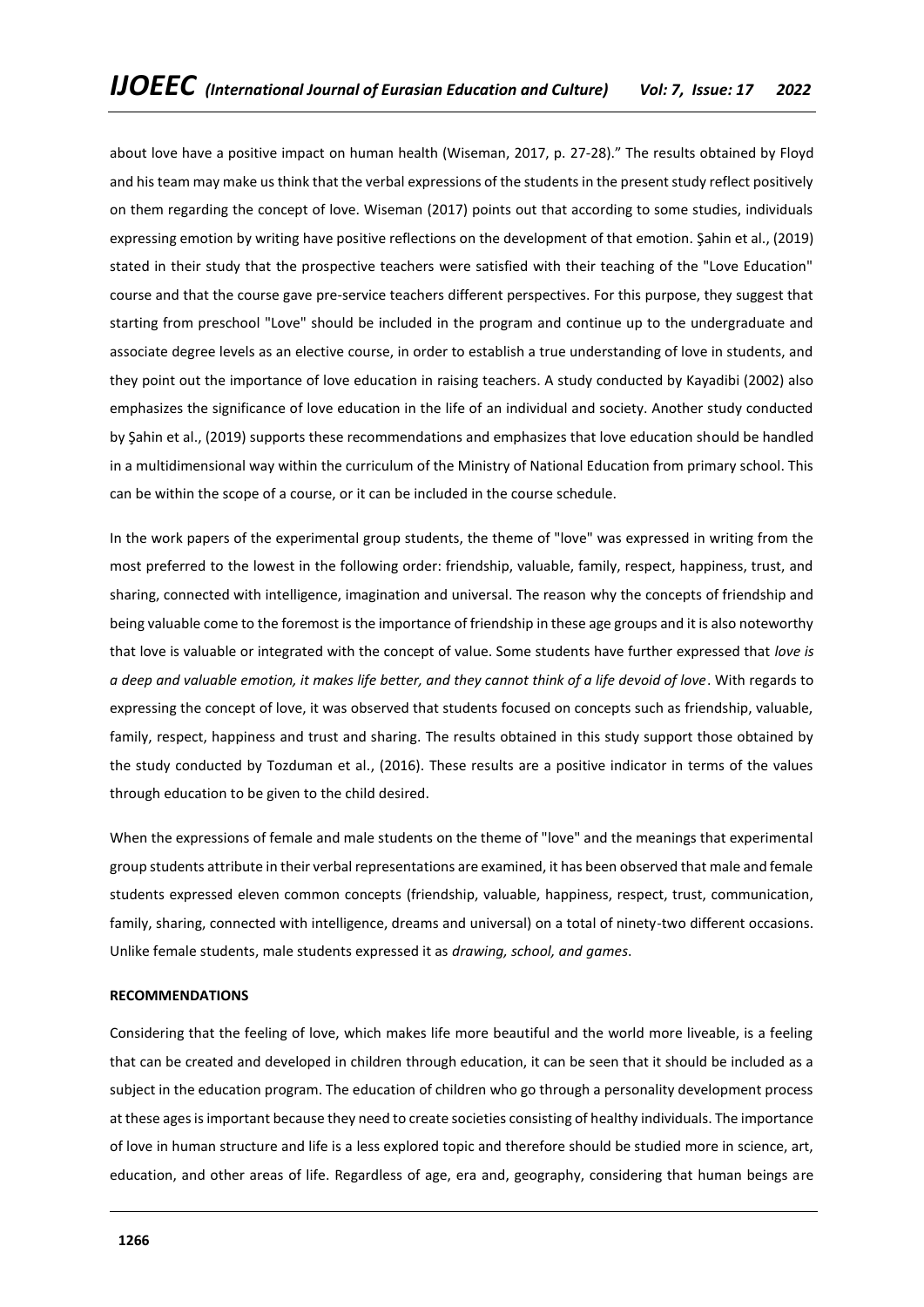about love have a positive impact on human health (Wiseman, 2017, p. 27-28)." The results obtained by Floyd and his team may make us think that the verbal expressions of the students in the present study reflect positively on them regarding the concept of love. Wiseman (2017) points out that according to some studies, individuals expressing emotion by writing have positive reflections on the development of that emotion. Şahin et al., (2019) stated in their study that the prospective teachers were satisfied with their teaching of the "Love Education" course and that the course gave pre-service teachers different perspectives. For this purpose, they suggest that starting from preschool "Love" should be included in the program and continue up to the undergraduate and associate degree levels as an elective course, in order to establish a true understanding of love in students, and they point out the importance of love education in raising teachers. A study conducted by Kayadibi (2002) also emphasizes the significance of love education in the life of an individual and society. Another study conducted by Şahin et al., (2019) supports these recommendations and emphasizes that love education should be handled in a multidimensional way within the curriculum of the Ministry of National Education from primary school. This can be within the scope of a course, or it can be included in the course schedule.

In the work papers of the experimental group students, the theme of "love" was expressed in writing from the most preferred to the lowest in the following order: friendship, valuable, family, respect, happiness, trust, and sharing, connected with intelligence, imagination and universal. The reason why the concepts of friendship and being valuable come to the foremost is the importance of friendship in these age groups and it is also noteworthy that love is valuable or integrated with the concept of value. Some students have further expressed that *love is a deep and valuable emotion, it makes life better, and they cannot think of a life devoid of love*. With regards to expressing the concept of love, it was observed that students focused on concepts such as friendship, valuable, family, respect, happiness and trust and sharing. The results obtained in this study support those obtained by the study conducted by Tozduman et al., (2016). These results are a positive indicator in terms of the values through education to be given to the child desired.

When the expressions of female and male students on the theme of "love" and the meanings that experimental group students attribute in their verbal representations are examined, it has been observed that male and female students expressed eleven common concepts (friendship, valuable, happiness, respect, trust, communication, family, sharing, connected with intelligence, dreams and universal) on a total of ninety-two different occasions. Unlike female students, male students expressed it as *drawing, school, and games*.

## **RECOMMENDATIONS**

Considering that the feeling of love, which makes life more beautiful and the world more liveable, is a feeling that can be created and developed in children through education, it can be seen that it should be included as a subject in the education program. The education of children who go through a personality development process at these ages is important because they need to create societies consisting of healthy individuals. The importance of love in human structure and life is a less explored topic and therefore should be studied more in science, art, education, and other areas of life. Regardless of age, era and, geography, considering that human beings are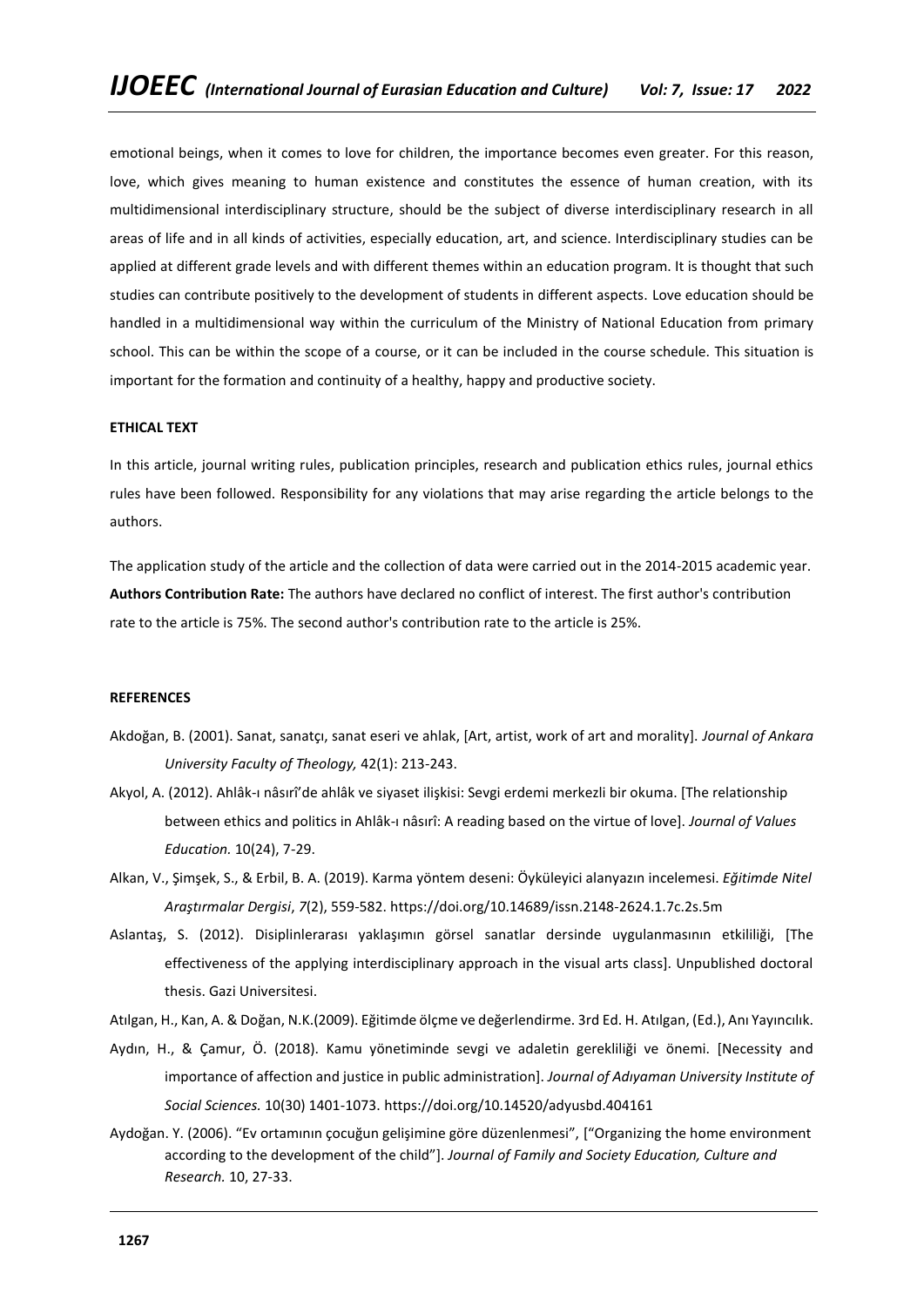emotional beings, when it comes to love for children, the importance becomes even greater. For this reason, love, which gives meaning to human existence and constitutes the essence of human creation, with its multidimensional interdisciplinary structure, should be the subject of diverse interdisciplinary research in all areas of life and in all kinds of activities, especially education, art, and science. Interdisciplinary studies can be applied at different grade levels and with different themes within an education program. It is thought that such studies can contribute positively to the development of students in different aspects. Love education should be handled in a multidimensional way within the curriculum of the Ministry of National Education from primary school. This can be within the scope of a course, or it can be included in the course schedule. This situation is important for the formation and continuity of a healthy, happy and productive society.

## **ETHICAL TEXT**

In this article, journal writing rules, publication principles, research and publication ethics rules, journal ethics rules have been followed. Responsibility for any violations that may arise regarding the article belongs to the authors.

The application study of the article and the collection of data were carried out in the 2014-2015 academic year. **Authors Contribution Rate:** The authors have declared no conflict of interest. The first author's contribution rate to the article is 75%. The second author's contribution rate to the article is 25%.

## **REFERENCES**

- Akdoğan, B. (2001). Sanat, sanatçı, sanat eseri ve ahlak, [Art, artist, work of art and morality]. *Journal of Ankara University Faculty of Theology,* 42(1): 213-243.
- Akyol, A. (2012). Ahlâk-ı nâsırî'de ahlâk ve siyaset ilişkisi: Sevgi erdemi merkezli bir okuma. [The relationship between ethics and politics in Ahlâk-ı nâsırî: A reading based on the virtue of love]. *Journal of Values Education.* 10(24), 7-29.
- Alkan, V., Şimşek, S., & Erbil, B. A. (2019). Karma yöntem deseni: Öyküleyici alanyazın incelemesi. *Eğitimde Nitel Araştırmalar Dergisi*, *7*(2), 559-582[. https://doi.org/10.14689/issn.2148-2624.1.7c.2s.5m](https://doi.org/10.14689/issn.2148-2624.1.7c.2s.5m)
- Aslantaş, S. (2012). Disiplinlerarası yaklaşımın görsel sanatlar dersinde uygulanmasının etkililiği, [The effectiveness of the applying interdisciplinary approach in the visual arts class]. Unpublished doctoral thesis. Gazi Universitesi.

Atılgan, H., Kan, A. & Doğan, N.K.(2009). Eğitimde ölçme ve değerlendirme. 3rd Ed. H. Atılgan, (Ed.), Anı Yayıncılık.

- Aydın, H., & Çamur, Ö. (2018). Kamu yönetiminde sevgi ve adaletin gerekliliği ve önemi. [Necessity and importance of affection and justice in public administration]. *Journal of Adıyaman University Institute of Social Sciences.* 10(30) 1401-1073. <https://doi.org/10.14520/adyusbd.404161>
- Aydoğan. Y. (2006). "Ev ortamının çocuğun gelişimine göre düzenlenmesi", ["Organizing the home environment according to the development of the child"]. *Journal of Family and Society Education, Culture and Research.* 10, 27-33.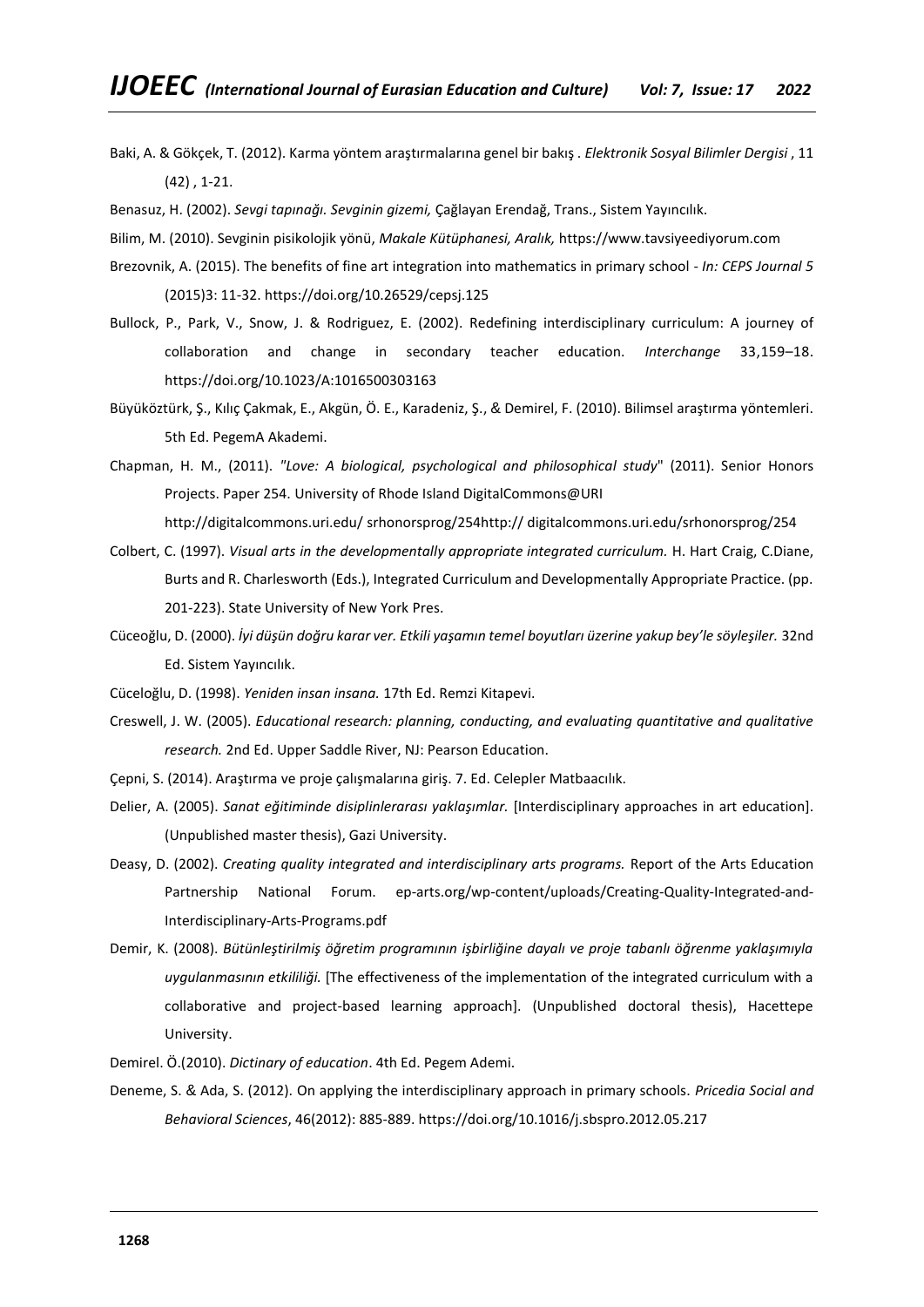- Baki, A. & Gökçek, T. (2012). Karma yöntem araştırmalarına genel bir bakış . *Elektronik Sosyal Bilimler Dergisi* , 11 (42) , 1-21.
- Benasuz, H. (2002). *Sevgi tapınağı. Sevginin gizemi,* Çağlayan Erendağ, Trans., Sistem Yayıncılık.
- Bilim, M. (2010). Sevginin pisikolojik yönü, *Makale Kütüphanesi, Aralık,* [https://www.tavsiyeediyorum.com](https://www.tavsiyeediyorum.com/)
- Brezovnik, A. (2015). The benefits of fine art integration into mathematics in primary school *In: CEPS Journal 5* (2015)3: 11-32.<https://doi.org/10.26529/cepsj.125>
- Bullock, P., Park, V., Snow, J. & Rodriguez, E. (2002). Redefining interdisciplinary curriculum: A journey of collaboration and change in secondary teacher education. *Interchange* 33,159–18. https://doi.org/10.1023/A:1016500303163
- Büyüköztürk, Ş., Kılıç Çakmak, E., Akgün, Ö. E., Karadeniz, Ş., & Demirel, F. (2010). Bilimsel araştırma yöntemleri. 5th Ed. PegemA Akademi.
- Chapman, H. M., (2011). *"Love: A biological, psychological and philosophical study*" (2011). Senior Honors Projects. Paper 254. University of Rhode Island DigitalCommons@URI <http://digitalcommons.uri.edu/> srhonorsprog/254http:// digitalcommons.uri.edu/srhonorsprog/254
- Colbert, C. (1997). *Visual arts in the developmentally appropriate integrated curriculum.* H. Hart Craig, C.Diane, Burts and R. Charlesworth (Eds.), Integrated Curriculum and Developmentally Appropriate Practice. (pp. 201-223). State University of New York Pres.
- Cüceoğlu, D. (2000). *İyi düşün doğru karar ver. Etkili yaşamın temel boyutları üzerine yakup bey'le söyleşiler.* 32nd Ed. Sistem Yayıncılık.
- Cüceloğlu, D. (1998). *Yeniden insan insana.* 17th Ed. Remzi Kitapevi.
- Creswell, J. W. (2005). *Educational research: planning, conducting, and evaluating quantitative and qualitative research.* 2nd Ed. Upper Saddle River, NJ: Pearson Education.
- Çepni, S. (2014). Araştırma ve proje çalışmalarına giriş. 7. Ed. Celepler Matbaacılık.
- Delier, A. (2005). *Sanat eğitiminde disiplinlerarası yaklaşımlar.* [Interdisciplinary approaches in art education]. (Unpublished master thesis), Gazi University.
- Deasy, D. (2002). *Creating quality integrated and interdisciplinary arts programs.* Report of the Arts Education Partnership National Forum. ep-arts.org/wp-content/uploads/Creating-Quality-Integrated-and-Interdisciplinary-Arts-Programs.pdf
- Demir, K. (2008). *Bütünleştirilmiş öğretim programının işbirliğine dayalı ve proje tabanlı öğrenme yaklaşımıyla uygulanmasının etkililiği.* [The effectiveness of the implementation of the integrated curriculum with a collaborative and project-based learning approach]. (Unpublished doctoral thesis), Hacettepe University.
- Demirel. Ö.(2010). *Dictinary of education*. 4th Ed. Pegem Ademi.
- Deneme, S. & Ada, S. (2012). On applying the interdisciplinary approach in primary schools. *Pricedia Social and Behavioral Sciences*, 46(2012): 885-889.<https://doi.org/10.1016/j.sbspro.2012.05.217>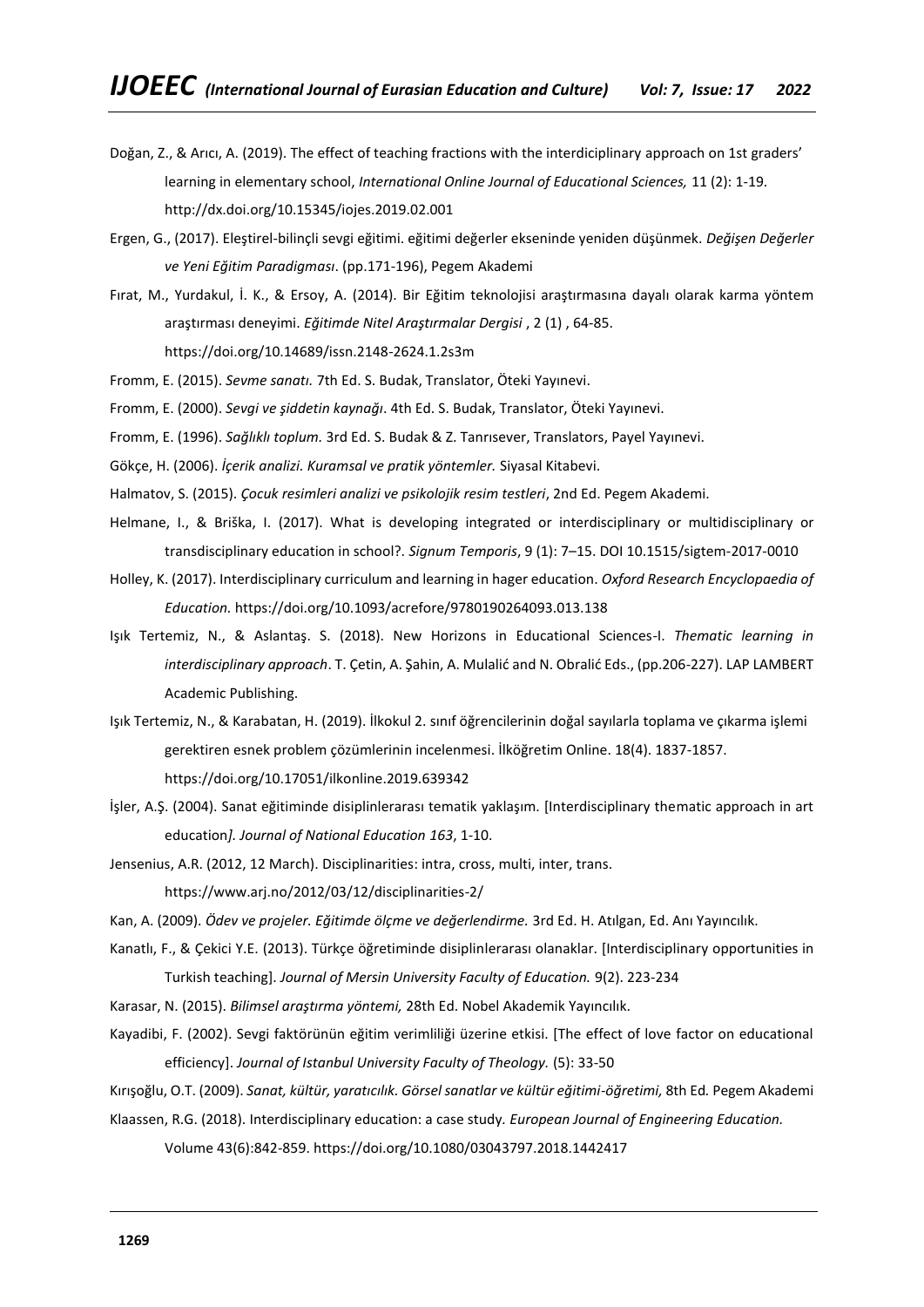- Doğan, Z., & Arıcı, A. (2019). The effect of teaching fractions with the interdiciplinary approach on 1st graders' learning in elementary school, *International Online Journal of Educational Sciences,* 11 (2): 1-19. <http://dx.doi.org/10.15345/iojes.2019.02.001>
- Ergen, G., (2017). Eleştirel-bilinçli sevgi eğitimi. eğitimi değerler ekseninde yeniden düşünmek. *Değişen Değerler ve Yeni Eğitim Paradigması*. (pp.171-196), Pegem Akademi
- Fırat, M., Yurdakul, İ. K., & Ersoy, A. (2014). Bir Eğitim teknolojisi araştırmasına dayalı olarak karma yöntem araştırması deneyimi. *Eğitimde Nitel Araştırmalar Dergisi* , 2 (1) , 64-85. <https://doi.org/10.14689/issn.2148-2624.1.2s3m>
- Fromm, E. (2015). *Sevme sanatı.* 7th Ed. S. Budak, Translator, Öteki Yayınevi.
- Fromm, E. (2000). *Sevgi ve şiddetin kaynağı*. 4th Ed. S. Budak, Translator, Öteki Yayınevi.
- Fromm, E. (1996). *Sağlıklı toplum.* 3rd Ed. S. Budak & Z. Tanrısever, Translators, Payel Yayınevi.
- Gökçe, H. (2006). *İçerik analizi. Kuramsal ve pratik yöntemler.* Siyasal Kitabevi.
- Halmatov, S. (2015). *Çocuk resimleri analizi ve psikolojik resim testleri*, 2nd Ed. Pegem Akademi.
- Helmane, I., & Briška, I. (2017). What is developing integrated or interdisciplinary or multidisciplinary or transdisciplinary education in school?. *Signum Temporis*, 9 (1): 7–15. DOI 10.1515/sigtem-2017-0010
- Holley, K. (2017). Interdisciplinary curriculum and learning in hager education. *Oxford Research Encyclopaedia of Education.* <https://doi.org/10.1093/acrefore/9780190264093.013.138>
- Işık Tertemiz, N., & Aslantaş. S. (2018). New Horizons in Educational Sciences-I. *Thematic learning in interdisciplinary approach*. T. Çetin, A. Şahin, A. Mulalić and N. Obralić Eds., (pp.206-227). LAP LAMBERT Academic Publishing.
- Işık Tertemiz, N., & Karabatan, H. (2019). İlkokul 2. sınıf öğrencilerinin doğal sayılarla toplama ve çıkarma işlemi gerektiren esnek problem çözümlerinin incelenmesi. İlköğretim Online. 18(4). 1837-1857. <https://doi.org/10.17051/ilkonline.2019.639342>
- İşler, A.Ş. (2004). Sanat eğitiminde disiplinlerarası tematik yaklaşım. [Interdisciplinary thematic approach in art education*]. Journal of National Education 163*, 1-10.
- Jensenius, A.R. (2012, 12 March). Disciplinarities: intra, cross, multi, inter, trans. https://www.arj.no/2012/03/12/disciplinarities-2/
- Kan, A. (2009). *Ödev ve projeler. Eğitimde ölçme ve değerlendirme.* 3rd Ed. H. Atılgan, Ed. Anı Yayıncılık.
- Kanatlı, F., & Çekici Y.E. (2013). Türkçe öğretiminde disiplinlerarası olanaklar. [Interdisciplinary opportunities in Turkish teaching]. *Journal of Mersin University Faculty of Education.* 9(2). 223-234
- Karasar, N. (2015). *Bilimsel araştırma yöntemi,* 28th Ed. Nobel Akademik Yayıncılık.
- Kayadibi, F. (2002). Sevgi faktörünün eğitim verimliliği üzerine etkisi. [The effect of love factor on educational efficiency]. *Journal of Istanbul University Faculty of Theology.* [\(5\): 3](../../agste/AppData/Local/Packages/microsoft.windowscommunicationsapps_8wekyb3d8bbwe/LocalState/Files/S0/1115/AppData/Local/Packages/microsoft.windowscommunicationsapps_8wekyb3d8bbwe/LocalState/Files/S0/538/Downloads/(0)5,)3-50
- Kırışoğlu, O.T. (2009). *Sanat, kültür, yaratıcılık. Görsel sanatlar ve kültür eğitimi-öğretimi,* 8th Ed*.* Pegem Akademi Klaassen, R.G. (2018). Interdisciplinary education: a case study*. European Journal of Engineering Education.* 
	-

Volume 43(6):842-859.<https://doi.org/10.1080/03043797.2018.1442417>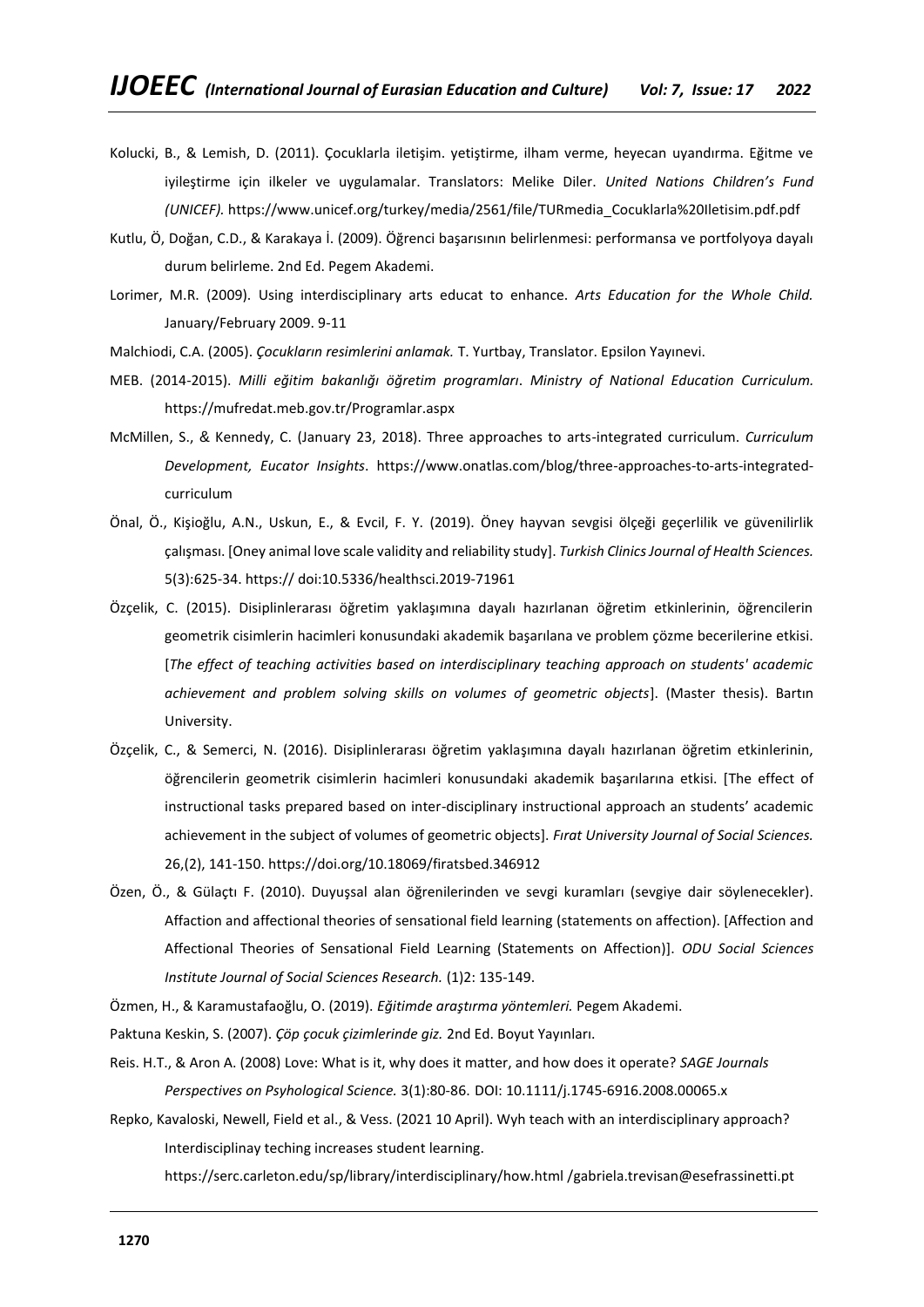- Kolucki, B., & Lemish, D. (2011). Çocuklarla iletişim. yetiştirme, ilham verme, heyecan uyandırma. Eğitme ve iyileştirme için ilkeler ve uygulamalar. Translators: Melike Diler. *United Nations Children's Fund (UNICEF).* https://www.unicef.org/turkey/media/2561/file/TURmedia\_Cocuklarla%20Iletisim.pdf.pdf
- Kutlu, Ö, Doğan, C.D., & Karakaya İ. (2009). Öğrenci başarısının belirlenmesi: performansa ve portfolyoya dayalı durum belirleme. 2nd Ed. Pegem Akademi.
- Lorimer, M.R. (2009). Using interdisciplinary arts educat to enhance. *Arts Education for the Whole Child.*  January/February 2009. 9-11
- Malchiodi, C.A. (2005). *Çocukların resimlerini anlamak.* T. Yurtbay, Translator. Epsilon Yayınevi.
- MEB. (2014-2015). *Milli eğitim bakanlığı öğretim programları*. *Ministry of National Education Curriculum.* https://mufredat.meb.gov.tr/Programlar.aspx
- McMillen, S., & Kennedy, C. (January 23, 2018). Three approaches to arts-integrated curriculum. *[Curriculum](https://www.onatlas.com/blog/category/curriculum-development) [Development,](https://www.onatlas.com/blog/category/curriculum-development) [Eucator](https://www.onatlas.com/blog/category/educator-insights) Insights*. https://www.onatlas.com/blog/three-approaches-to-arts-integratedcurriculum
- Önal, Ö., Kişioğlu, A.N., Uskun, E., & Evcil, F. Y. (2019). Öney hayvan sevgisi ölçeği geçerlilik ve güvenilirlik çalışması. [Oney animal love scale validity and reliability study]. *Turkish Clinics Journal of Health Sciences.*  5(3):625-34. https:// doi:10.5336/healthsci.2019-71961
- Özçelik, C. (2015). Disiplinlerarası öğretim yaklaşımına dayalı hazırlanan öğretim etkinlerinin, öğrencilerin geometrik cisimlerin hacimleri konusundaki akademik başarılana ve problem çözme becerilerine etkisi. [*The effect of teaching activities based on interdisciplinary teaching approach on students' academic achievement and problem solving skills on volumes of geometric objects*]. (Master thesis). Bartın University.
- Özçelik, C., & Semerci, N. (2016). Disiplinlerarası öğretim yaklaşımına dayalı hazırlanan öğretim etkinlerinin, öğrencilerin geometrik cisimlerin hacimleri konusundaki akademik başarılarına etkisi. [The effect of instructional tasks prepared based on inter-disciplinary instructional approach an students' academic achievement in the subject of volumes of geometric objects]. *Fırat University Journal of Social Sciences.* 26,(2), 141-150.<https://doi.org/10.18069/firatsbed.346912>
- Özen, Ö., & Gülaçtı F. (2010). Duyuşsal alan öğrenilerinden ve sevgi kuramları (sevgiye dair söylenecekler). Affaction and affectional theories of sensational field learning (statements on affection). [Affection and Affectional Theories of Sensational Field Learning (Statements on Affection)]. *ODU Social Sciences Institute Journal of Social Sciences Research.* (1)2: 135-149.

Özmen, H., & Karamustafaoğlu, O. (2019). *Eğitimde araştırma yöntemleri.* Pegem Akademi.

Paktuna Keskin, S. (2007). *Çöp çocuk çizimlerinde giz.* 2nd Ed. Boyut Yayınları.

- Reis. H.T., & Aron A. (2008) Love: What is it, why does it matter, and how does it operate? *SAGE Journals Perspectives on Psyhological Science.* 3(1):80-86. DOI: [10.1111/j.1745-6916.2008.00065.x](https://doi.org/10.1111/j.1745-6916.2008.00065.x)
- Repko, Kavaloski, Newell, Field et al., & Vess. (2021 10 April). Wyh teach with an interdisciplinary approach? Interdisciplinay teching increases student learning.

[https://serc.carleton.edu/sp/library/interdisciplinary/how.html /](https://serc.carleton.edu/sp/library/interdisciplinary/how.html%20/)[gabriela.trevisan@esefrassinetti.pt](mailto:gabriela.trevisan@esefrassinetti.pt)